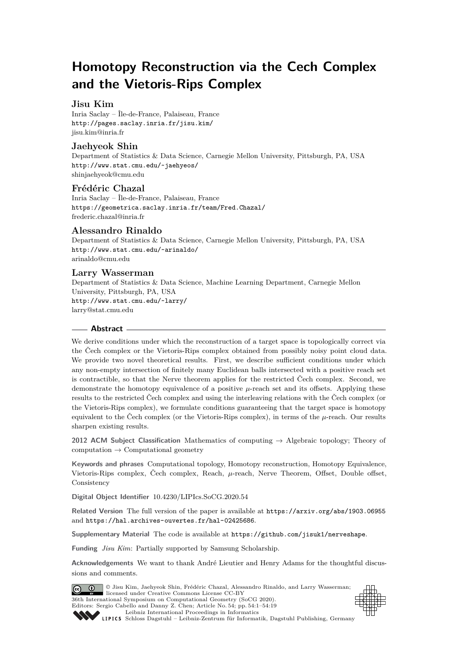# **Homotopy Reconstruction via the Cech Complex and the Vietoris-Rips Complex**

# **Jisu Kim**

Inria Saclay – Île-de-France, Palaiseau, France <http://pages.saclay.inria.fr/jisu.kim/> [jisu.kim@inria.fr](mailto:jisu.kim@inria.fr)

# **Jaehyeok Shin**

Department of Statistics & Data Science, Carnegie Mellon University, Pittsburgh, PA, USA <http://www.stat.cmu.edu/~jaehyeos/> [shinjaehyeok@cmu.edu](mailto:shinjaehyeok@cmu.edu)

# **Frédéric Chazal**

Inria Saclay – Île-de-France, Palaiseau, France <https://geometrica.saclay.inria.fr/team/Fred.Chazal/> [frederic.chazal@inria.fr](mailto:frederic.chazal@inria.fr)

# **Alessandro Rinaldo**

Department of Statistics & Data Science, Carnegie Mellon University, Pittsburgh, PA, USA <http://www.stat.cmu.edu/~arinaldo/> [arinaldo@cmu.edu](mailto:arinaldo@cmu.edu)

# **Larry Wasserman**

Department of Statistics & Data Science, Machine Learning Department, Carnegie Mellon University, Pittsburgh, PA, USA <http://www.stat.cmu.edu/~larry/> [larry@stat.cmu.edu](mailto:larry@stat.cmu.edu)

### **Abstract**

We derive conditions under which the reconstruction of a target space is topologically correct via the Čech complex or the Vietoris-Rips complex obtained from possibly noisy point cloud data. We provide two novel theoretical results. First, we describe sufficient conditions under which any non-empty intersection of finitely many Euclidean balls intersected with a positive reach set is contractible, so that the Nerve theorem applies for the restricted Čech complex. Second, we demonstrate the homotopy equivalence of a positive *µ*-reach set and its offsets. Applying these results to the restricted Čech complex and using the interleaving relations with the Čech complex (or the Vietoris-Rips complex), we formulate conditions guaranteeing that the target space is homotopy equivalent to the Čech complex (or the Vietoris-Rips complex), in terms of the *µ*-reach. Our results sharpen existing results.

**2012 ACM Subject Classification** Mathematics of computing → Algebraic topology; Theory of  $computation \rightarrow Computational geometry$ 

**Keywords and phrases** Computational topology, Homotopy reconstruction, Homotopy Equivalence, Vietoris-Rips complex, Čech complex, Reach, *µ*-reach, Nerve Theorem, Offset, Double offset, Consistency

**Digital Object Identifier** [10.4230/LIPIcs.SoCG.2020.54](https://doi.org/10.4230/LIPIcs.SoCG.2020.54)

**Related Version** The full version of the paper is available at <https://arxiv.org/abs/1903.06955> and <https://hal.archives-ouvertes.fr/hal-02425686>.

**Supplementary Material** The code is available at <https://github.com/jisuk1/nerveshape>.

**Funding** *Jisu Kim*: Partially supported by Samsung Scholarship.

**Acknowledgements** We want to thank André Lieutier and Henry Adams for the thoughtful discussions and comments.





[Schloss Dagstuhl – Leibniz-Zentrum für Informatik, Dagstuhl Publishing, Germany](https://www.dagstuhl.de)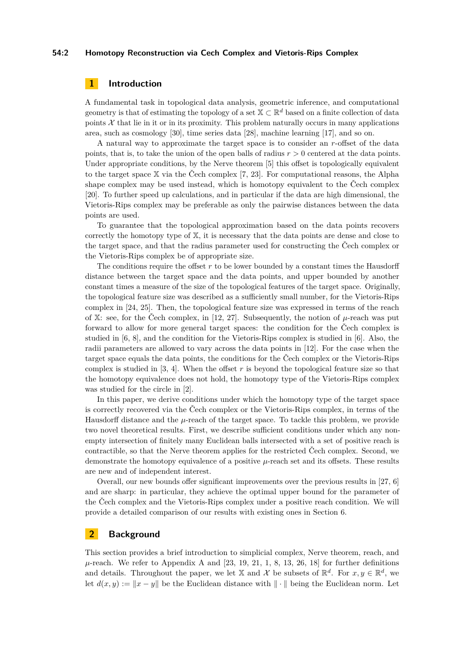#### **54:2 Homotopy Reconstruction via Cech Complex and Vietoris-Rips Complex**

# **1 Introduction**

A fundamental task in topological data analysis, geometric inference, and computational geometry is that of estimating the topology of a set  $\mathbb{X} \subset \mathbb{R}^d$  based on a finite collection of data points  $X$  that lie in it or in its proximity. This problem naturally occurs in many applications area, such as cosmology [\[30\]](#page-18-1), time series data [\[28\]](#page-18-2), machine learning [\[17\]](#page-17-0), and so on.

A natural way to approximate the target space is to consider an *r*-offset of the data points, that is, to take the union of the open balls of radius  $r > 0$  centered at the data points. Under appropriate conditions, by the Nerve theorem [\[5\]](#page-16-0) this offset is topologically equivalent to the target space  $X$  via the Čech complex [\[7,](#page-16-1) [23\]](#page-17-1). For computational reasons, the Alpha shape complex may be used instead, which is homotopy equivalent to the Čech complex [\[20\]](#page-17-2). To further speed up calculations, and in particular if the data are high dimensional, the Vietoris-Rips complex may be preferable as only the pairwise distances between the data points are used.

To guarantee that the topological approximation based on the data points recovers correctly the homotopy type of X, it is necessary that the data points are dense and close to the target space, and that the radius parameter used for constructing the Čech complex or the Vietoris-Rips complex be of appropriate size.

The conditions require the offset *r* to be lower bounded by a constant times the Hausdorff distance between the target space and the data points, and upper bounded by another constant times a measure of the size of the topological features of the target space. Originally, the topological feature size was described as a sufficiently small number, for the Vietoris-Rips complex in [\[24,](#page-17-3) [25\]](#page-17-4). Then, the topological feature size was expressed in terms of the reach of X: see, for the Čech complex, in [\[12,](#page-17-5) [27\]](#page-17-6). Subsequently, the notion of  $\mu$ -reach was put forward to allow for more general target spaces: the condition for the Čech complex is studied in [\[6,](#page-16-2) [8\]](#page-16-3), and the condition for the Vietoris-Rips complex is studied in [\[6\]](#page-16-2). Also, the radii parameters are allowed to vary across the data points in [\[12\]](#page-17-5). For the case when the target space equals the data points, the conditions for the Čech complex or the Vietoris-Rips complex is studied in [\[3,](#page-16-4) [4\]](#page-16-5). When the offset *r* is beyond the topological feature size so that the homotopy equivalence does not hold, the homotopy type of the Vietoris-Rips complex was studied for the circle in [\[2\]](#page-16-6).

In this paper, we derive conditions under which the homotopy type of the target space is correctly recovered via the Čech complex or the Vietoris-Rips complex, in terms of the Hausdorff distance and the  $\mu$ -reach of the target space. To tackle this problem, we provide two novel theoretical results. First, we describe sufficient conditions under which any nonempty intersection of finitely many Euclidean balls intersected with a set of positive reach is contractible, so that the Nerve theorem applies for the restricted Čech complex. Second, we demonstrate the homotopy equivalence of a positive *µ*-reach set and its offsets. These results are new and of independent interest.

Overall, our new bounds offer significant improvements over the previous results in [\[27,](#page-17-6) [6\]](#page-16-2) and are sharp: in particular, they achieve the optimal upper bound for the parameter of the Čech complex and the Vietoris-Rips complex under a positive reach condition. We will provide a detailed comparison of our results with existing ones in Section [6.](#page-15-0)

# **2 Background**

This section provides a brief introduction to simplicial complex, Nerve theorem, reach, and  $\mu$ -reach. We refer to Appendix A and [\[23,](#page-17-1) [19,](#page-17-7) [21,](#page-17-8) [1,](#page-16-7) [8,](#page-16-3) [13,](#page-17-9) [26,](#page-17-10) [18\]](#page-17-11) for further definitions and details. Throughout the paper, we let X and X be subsets of  $\mathbb{R}^d$ . For  $x, y \in \mathbb{R}^d$ , we let  $d(x, y) := ||x - y||$  be the Euclidean distance with  $|| \cdot ||$  being the Euclidean norm. Let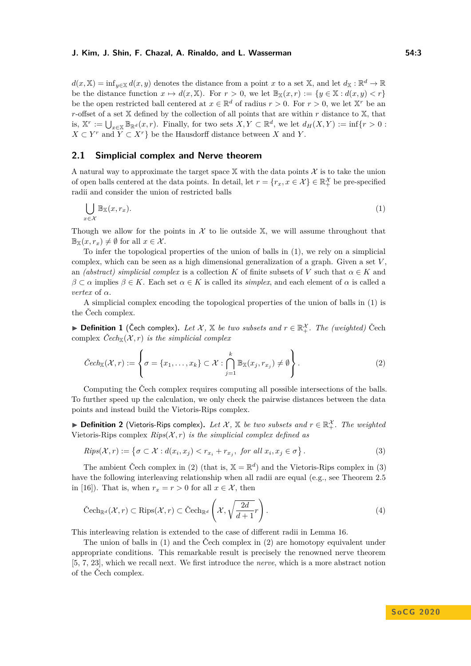$d(x, \mathbb{X}) = \inf_{y \in \mathbb{X}} d(x, y)$  denotes the distance from a point *x* to a set X, and let  $d_{\mathbb{X}} : \mathbb{R}^d \to \mathbb{R}$ be the distance function  $x \mapsto d(x, \mathbb{X})$ . For  $r > 0$ , we let  $\mathbb{B}_{\mathbb{X}}(x, r) := \{y \in \mathbb{X} : d(x, y) < r\}$ be the open restricted ball centered at  $x \in \mathbb{R}^d$  of radius  $r > 0$ . For  $r > 0$ , we let  $\mathbb{X}^r$  be an *r*-offset of a set  $X$  defined by the collection of all points that are within  $r$  distance to  $X$ , that is,  $X^r := \bigcup_{x \in X} \mathbb{B}_{\mathbb{R}^d}(x, r)$ . Finally, for two sets  $X, Y \subset \mathbb{R}^d$ , we let  $d_H(X, Y) := \inf\{r > 0 :$  $X \subset Y^r$  and  $Y \subset X^r$  be the Hausdorff distance between *X* and *Y*.

### **2.1 Simplicial complex and Nerve theorem**

A natural way to approximate the target space  $X$  with the data points X is to take the union of open balls centered at the data points. In detail, let  $r = \{r_x, x \in \mathcal{X}\}\in \mathbb{R}_+^{\mathcal{X}}$  be pre-specified radii and consider the union of restricted balls

<span id="page-2-0"></span>
$$
\bigcup_{x \in \mathcal{X}} \mathbb{B}_{\mathbb{X}}(x, r_x). \tag{1}
$$

Though we allow for the points in  $\mathcal X$  to lie outside  $\mathbb X$ , we will assume throughout that  $\mathbb{B}_{\mathbb{X}}(x,r_x) \neq \emptyset$  for all  $x \in \mathcal{X}$ .

To infer the topological properties of the union of balls in [\(1\)](#page-2-0), we rely on a simplicial complex, which can be seen as a high dimensional generalization of a graph. Given a set *V* , an *(abstract) simplicial complex* is a collection *K* of finite subsets of *V* such that  $\alpha \in K$  and  $\beta \subset \alpha$  implies  $\beta \in K$ . Each set  $\alpha \in K$  is called its *simplex*, and each element of  $\alpha$  is called a *vertex* of *α*.

A simplicial complex encoding the topological properties of the union of balls in [\(1\)](#page-2-0) is the Čech complex.

▶ **Definition 1** (Čech complex). Let  $X$ ,  $X$  be two subsets and  $r \in \mathbb{R}_+^X$ . The (weighted) Čech complex  $\check{C}ech_{\mathbb{X}}(\mathcal{X}, r)$  *is the simplicial complex* 

<span id="page-2-1"></span>
$$
\check{C}ech_{\mathbb{X}}(\mathcal{X},r) := \left\{ \sigma = \{x_1,\ldots,x_k\} \subset \mathcal{X} : \bigcap_{j=1}^k \mathbb{B}_{\mathbb{X}}(x_j,r_{x_j}) \neq \emptyset \right\}.
$$
 (2)

Computing the Čech complex requires computing all possible intersections of the balls. To further speed up the calculation, we only check the pairwise distances between the data points and instead build the Vietoris-Rips complex.

▶ **Definition 2** (Vietoris-Rips complex). Let  $\mathcal{X}, \mathbb{X}$  be two subsets and  $r \in \mathbb{R}_+^{\mathcal{X}}$ . The weighted Vietoris-Rips complex  $Rips(X, r)$  *is the simplicial complex defined as* 

<span id="page-2-2"></span>
$$
Rips(\mathcal{X}, r) := \left\{ \sigma \subset \mathcal{X} : d(x_i, x_j) < r_{x_i} + r_{x_j}, \text{ for all } x_i, x_j \in \sigma \right\}. \tag{3}
$$

The ambient Čech complex in [\(2\)](#page-2-1) (that is,  $\mathbb{X} = \mathbb{R}^d$ ) and the Vietoris-Rips complex in [\(3\)](#page-2-2) have the following interleaving relationship when all radii are equal (e.g., see Theorem 2.5) in [\[16\]](#page-17-12)). That is, when  $r_x = r > 0$  for all  $x \in \mathcal{X}$ , then

<span id="page-2-3"></span>
$$
\text{Čech}_{\mathbb{R}^d}(\mathcal{X},r) \subset \text{Rips}(\mathcal{X},r) \subset \text{Čech}_{\mathbb{R}^d}\left(\mathcal{X},\sqrt{\frac{2d}{d+1}r}\right).
$$
\n(4)

This interleaving relation is extended to the case of different radii in Lemma [16.](#page-8-0)

The union of balls in [\(1\)](#page-2-0) and the Čech complex in [\(2\)](#page-2-1) are homotopy equivalent under appropriate conditions. This remarkable result is precisely the renowned nerve theorem [\[5,](#page-16-0) [7,](#page-16-1) [23\]](#page-17-1), which we recall next. We first introduce the *nerve*, which is a more abstract notion of the Čech complex.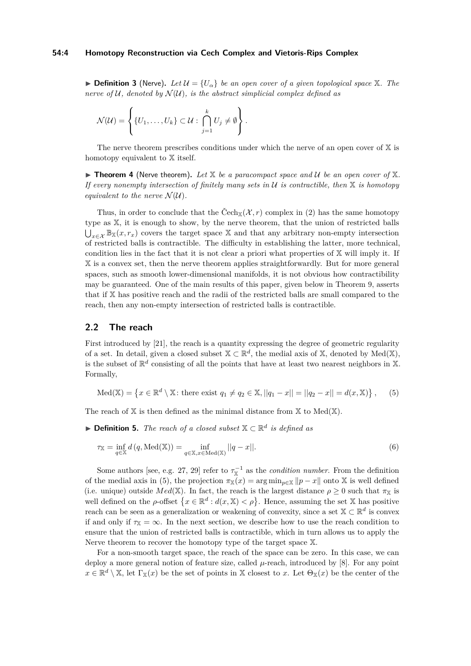$\triangleright$  **Definition 3** (Nerve). Let  $\mathcal{U} = \{U_\alpha\}$  be an open cover of a given topological space X. The *nerve of*  $U$ *, denoted by*  $\mathcal{N}(U)$ *, is the abstract simplicial complex defined as* 

$$
\mathcal{N}(\mathcal{U}) = \left\{ \{U_1, \ldots, U_k\} \subset \mathcal{U} : \bigcap_{j=1}^k U_j \neq \emptyset \right\}
$$

The nerve theorem prescribes conditions under which the nerve of an open cover of  $X$  is homotopy equivalent to X itself.

*.*

<span id="page-3-1"></span> $\triangleright$  **Theorem 4** (Nerve theorem). Let X be a paracompact space and U be an open cover of X. *If every nonempty intersection of finitely many sets in* U *is contractible, then* X *is homotopy equivalent to the nerve*  $\mathcal{N}(\mathcal{U})$ *.* 

Thus, in order to conclude that the Čech<sub>X</sub> $(\mathcal{X}, r)$  complex in [\(2\)](#page-2-1) has the same homotopy type as X, it is enough to show, by the nerve theorem, that the union of restricted balls  $\bigcup_{x\in\mathcal{X}}\mathbb{B}_{\mathbb{X}}(x,r_x)$  covers the target space X and that any arbitrary non-empty intersection of restricted balls is contractible. The difficulty in establishing the latter, more technical, condition lies in the fact that it is not clear a priori what properties of  $X$  will imply it. If X is a convex set, then the nerve theorem applies straightforwardly. But for more general spaces, such as smooth lower-dimensional manifolds, it is not obvious how contractibility may be guaranteed. One of the main results of this paper, given below in Theorem [9,](#page-5-0) asserts that if X has positive reach and the radii of the restricted balls are small compared to the reach, then any non-empty intersection of restricted balls is contractible.

# **2.2 The reach**

First introduced by [\[21\]](#page-17-8), the reach is a quantity expressing the degree of geometric regularity of a set. In detail, given a closed subset  $X \subset \mathbb{R}^d$ , the medial axis of X, denoted by Med(X), is the subset of  $\mathbb{R}^d$  consisting of all the points that have at least two nearest neighbors in X. Formally,

<span id="page-3-0"></span>
$$
\text{Med}(\mathbb{X}) = \left\{ x \in \mathbb{R}^d \setminus \mathbb{X} : \text{there exist } q_1 \neq q_2 \in \mathbb{X}, ||q_1 - x|| = ||q_2 - x|| = d(x, \mathbb{X}) \right\},\tag{5}
$$

The reach of  $X$  is then defined as the minimal distance from  $X$  to  $Med(X)$ .

I **Definition 5.** *The reach of a closed subset* X ⊂ R *d is defined as*

$$
\tau_{\mathbb{X}} = \inf_{q \in \mathbb{X}} d(q, \text{Med}(\mathbb{X})) = \inf_{q \in \mathbb{X}, x \in \text{Med}(\mathbb{X})} ||q - x||. \tag{6}
$$

Some authors [see, e.g. [27,](#page-17-6) [29\]](#page-18-3) refer to  $\tau_{\mathbb{X}}^{-1}$  as the *condition number*. From the definition of the medial axis in [\(5\)](#page-3-0), the projection  $\pi_{\mathbb{X}}(x) = \arg \min_{p \in \mathbb{X}} ||p - x||$  onto X is well defined (i.e. unique) outside  $Med(\mathbb{X})$ . In fact, the reach is the largest distance  $\rho \geq 0$  such that  $\pi_{\mathbb{X}}$  is well defined on the *ρ*-offset  $\{x \in \mathbb{R}^d : d(x, \mathbb{X}) < \rho\}$ . Hence, assuming the set X has positive reach can be seen as a generalization or weakening of convexity, since a set  $\mathbb{X} \subset \mathbb{R}^d$  is convex if and only if  $\tau_X = \infty$ . In the next section, we describe how to use the reach condition to ensure that the union of restricted balls is contractible, which in turn allows us to apply the Nerve theorem to recover the homotopy type of the target space X.

For a non-smooth target space, the reach of the space can be zero. In this case, we can deploy a more general notion of feature size, called *µ*-reach, introduced by [\[8\]](#page-16-3). For any point  $x \in \mathbb{R}^d \setminus \mathbb{X}$ , let  $\Gamma_{\mathbb{X}}(x)$  be the set of points in X closest to *x*. Let  $\Theta_{\mathbb{X}}(x)$  be the center of the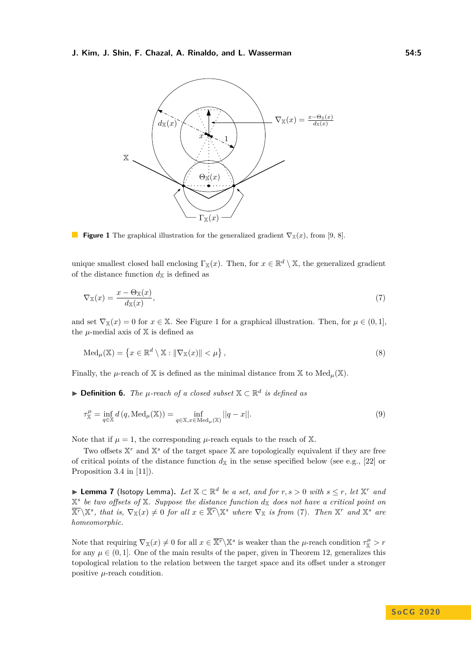<span id="page-4-0"></span>

**Figure 1** The graphical illustration for the generalized gradient  $\nabla_{\mathbf{x}}(x)$ , from [\[9,](#page-17-13) [8\]](#page-16-3).

unique smallest closed ball enclosing  $\Gamma_{\mathbb{X}}(x)$ . Then, for  $x \in \mathbb{R}^d \setminus \mathbb{X}$ , the generalized gradient of the distance function  $d_{\mathbb{X}}$  is defined as

<span id="page-4-1"></span>
$$
\nabla_{\mathbb{X}}(x) = \frac{x - \Theta_{\mathbb{X}}(x)}{d_{\mathbb{X}}(x)},\tag{7}
$$

and set  $\nabla_{\mathbb{X}}(x) = 0$  for  $x \in \mathbb{X}$ . See Figure [1](#page-4-0) for a graphical illustration. Then, for  $\mu \in (0, 1]$ , the  $\mu$ -medial axis of  $X$  is defined as

$$
\text{Med}_{\mu}(\mathbb{X}) = \left\{ x \in \mathbb{R}^d \setminus \mathbb{X} : \|\nabla_{\mathbb{X}}(x)\| < \mu \right\},\tag{8}
$$

Finally, the  $\mu$ -reach of X is defined as the minimal distance from X to  $\text{Med}_{\mu}(\mathbb{X})$ .

**► Definition 6.** *The*  $\mu$ *-reach of a closed subset*  $\mathbb{X} \subset \mathbb{R}^d$  *is defined as* 

$$
\tau_{\mathbb{X}}^{\mu} = \inf_{q \in \mathbb{X}} d(q, \text{Med}_{\mu}(\mathbb{X})) = \inf_{q \in \mathbb{X}, x \in \text{Med}_{\mu}(\mathbb{X})} ||q - x||. \tag{9}
$$

Note that if  $\mu = 1$ , the corresponding  $\mu$ -reach equals to the reach of X.

Two offsets  $X^r$  and  $X^s$  of the target space X are topologically equivalent if they are free of critical points of the distance function  $d<sub>X</sub>$  in the sense specified below (see e.g., [\[22\]](#page-17-14) or Proposition 3.4 in [\[11\]](#page-17-15)).

<span id="page-4-2"></span>I **Lemma 7** (Isotopy Lemma)**.** *Let* X ⊂ R *d be a set, and for r, s >* 0 *with s* ≤ *r, let* X *<sup>r</sup> and*  $\mathbb{X}^s$  be two offsets of  $\mathbb{X}$ *. Suppose the distance function*  $d_{\mathbb{X}}$  does not have a critical point on  $\overline{X}^r\backslash X^s$ , that is,  $\nabla_{\mathbb{X}}(x) \neq 0$  for all  $x \in \overline{X}^r\backslash X^s$  where  $\nabla_{\mathbb{X}}$  is from [\(7\)](#page-4-1). Then  $X^r$  and  $X^s$  are *homeomorphic.*

Note that requiring  $\nabla_{\mathbb{X}}(x) \neq 0$  for all  $x \in \overline{\mathbb{X}^r} \setminus \mathbb{X}^s$  is weaker than the *µ*-reach condition  $\tau_{\mathbb{X}}^{\mu} > r$ for any  $\mu \in (0, 1]$ . One of the main results of the paper, given in Theorem [12,](#page-7-0) generalizes this topological relation to the relation between the target space and its offset under a stronger positive *µ*-reach condition.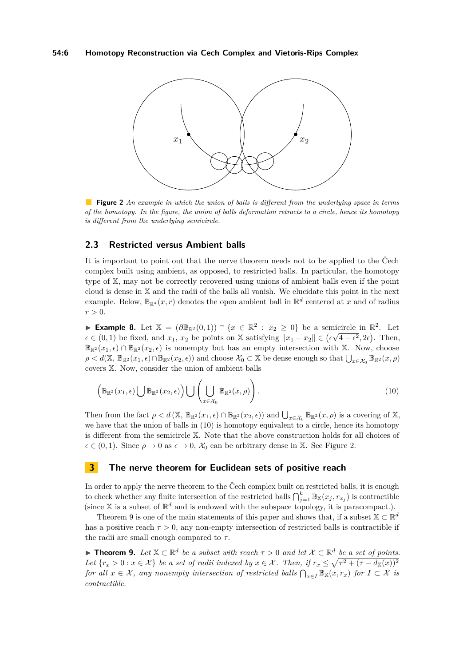<span id="page-5-2"></span>

**Figure 2** *An example in which the union of balls is different from the underlying space in terms of the homotopy. In the figure, the union of balls deformation retracts to a circle, hence its homotopy is different from the underlying semicircle.*

### **2.3 Restricted versus Ambient balls**

It is important to point out that the nerve theorem needs not to be applied to the Čech complex built using ambient, as opposed, to restricted balls. In particular, the homotopy type of X, may not be correctly recovered using unions of ambient balls even if the point cloud is dense in X and the radii of the balls all vanish. We elucidate this point in the next example. Below,  $\mathbb{B}_{\mathbb{R}^d}(x,r)$  denotes the open ambient ball in  $\mathbb{R}^d$  centered at x and of radius  $r > 0$ .

**Example 8.** Let  $\mathbb{X} = (\partial \mathbb{B}_{\mathbb{R}^2}(0,1)) \cap \{x \in \mathbb{R}^2 : x_2 \ge 0\}$  be a semicircle in  $\mathbb{R}^2$ . Let  $\epsilon \in (0,1)$  be fixed, and  $x_1, x_2$  be points on X satisfying  $||x_1 - x_2|| \in (\epsilon \sqrt{4 - \epsilon^2}, 2\epsilon)$ . Then,  $\mathbb{B}_{\mathbb{R}^2}(x_1,\epsilon)\cap\mathbb{B}_{\mathbb{R}^2}(x_2,\epsilon)$  is nonempty but has an empty intersection with X. Now, choose  $\rho < d(\mathbb{X}, \mathbb{B}_{\mathbb{R}^2}(x_1, \epsilon) \cap \mathbb{B}_{\mathbb{R}^2}(x_2, \epsilon))$  and choose  $\mathcal{X}_0 \subset \mathbb{X}$  be dense enough so that  $\bigcup_{x \in \mathcal{X}_0} \mathbb{B}_{\mathbb{R}^2}(x, \rho)$ covers X. Now, consider the union of ambient balls

<span id="page-5-1"></span>
$$
\left(\mathbb{B}_{\mathbb{R}^2}(x_1,\epsilon)\bigcup\mathbb{B}_{\mathbb{R}^2}(x_2,\epsilon)\right)\bigcup\left(\bigcup_{x\in\mathcal{X}_0}\mathbb{B}_{\mathbb{R}^2}(x,\rho)\right).
$$
\n(10)

Then from the fact  $\rho < d$  ( $\mathbb{X}, \mathbb{B}_{\mathbb{R}^2}(x_1, \epsilon) \cap \mathbb{B}_{\mathbb{R}^2}(x_2, \epsilon)$ ) and  $\bigcup_{x \in \mathcal{X}_0} \mathbb{B}_{\mathbb{R}^2}(x, \rho)$  is a covering of  $\mathbb{X},$ we have that the union of balls in [\(10\)](#page-5-1) is homotopy equivalent to a circle, hence its homotopy is different from the semicircle X. Note that the above construction holds for all choices of  $\epsilon \in (0,1)$ . Since  $\rho \to 0$  as  $\epsilon \to 0$ ,  $\mathcal{X}_0$  can be arbitrary dense in X. See Figure [2.](#page-5-2)

### **3 The nerve theorem for Euclidean sets of positive reach**

In order to apply the nerve theorem to the Čech complex built on restricted balls, it is enough to check whether any finite intersection of the restricted balls  $\bigcap_{j=1}^k \mathbb{B}_{\mathbb{X}}(x_j, r_{x_j})$  is contractible (since  $X$  is a subset of  $\mathbb{R}^d$  and is endowed with the subspace topology, it is paracompact.).

Theorem [9](#page-5-0) is one of the main statements of this paper and shows that, if a subset  $\mathbb{X} \subset \mathbb{R}^d$ has a positive reach  $\tau > 0$ , any non-empty intersection of restricted balls is contractible if the radii are small enough compared to  $\tau$ .

<span id="page-5-0"></span>**► Theorem 9.** Let  $\mathbb{X} \subset \mathbb{R}^d$  be a subset with reach  $\tau > 0$  and let  $\mathcal{X} \subset \mathbb{R}^d$  be a set of points. *Let*  $\{r_x > 0 : x \in \mathcal{X}\}\$ be a set of radii indexed by  $x \in \mathcal{X}$ . Then, if  $r_x \leq \sqrt{\tau^2 + (\tau - d_{\mathbb{X}}(x))^2}$ *for all*  $x \in \mathcal{X}$ , any nonempty intersection of restricted balls  $\bigcap_{x \in I} \mathbb{B}_{\mathbb{X}}(x, r_x)$  for  $I \subset \mathcal{X}$  is *contractible.*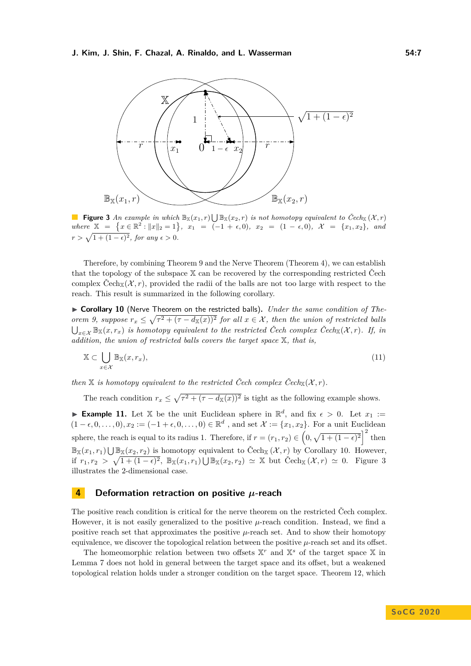<span id="page-6-1"></span>

**Figure 3** An example in which  $\mathbb{B}_{\mathbb{X}}(x_1,r) \bigcup \mathbb{B}_{\mathbb{X}}(x_2,r)$  is not homotopy equivalent to Čech<sub>X</sub>  $(\mathcal{X},r)$  $where \ X = \{x \in \mathbb{R}^2 : ||x||_2 = 1\}, \ x_1 = (-1 + \epsilon, 0), \ x_2 = (1 - \epsilon, 0), \ X = \{x_1, x_2\}, \$  $r > \sqrt{1 + (1 - \epsilon)^2}$ , for any  $\epsilon > 0$ .

Therefore, by combining Theorem [9](#page-5-0) and the Nerve Theorem (Theorem [4\)](#page-3-1), we can establish that the topology of the subspace X can be recovered by the corresponding restricted Čech complex Čech<sub>X</sub>( $\mathcal{X}, r$ ), provided the radii of the balls are not too large with respect to the reach. This result is summarized in the following corollary.

<span id="page-6-0"></span>▶ Corollary 10 (Nerve Theorem on the restricted balls). *Under the same condition of Theorem* [9,](#page-5-0) suppose  $r_x \leq \sqrt{\tau^2 + (\tau - d_{\mathbb{X}}(x))^2}$  *for all*  $x \in \mathcal{X}$ , then the union of restricted balls  $\bigcup_{x \in \mathcal{X}} \mathbb{B}_{\mathbb{X}}(x, r_x)$  *is homotopy equivalent to the restricted Čech complex Cech*<sub>X</sub> $(\mathcal{X}, r)$ *. If, in addition, the union of restricted balls covers the target space* X*, that is,*

<span id="page-6-2"></span>
$$
\mathbb{X} \subset \bigcup_{x \in \mathcal{X}} \mathbb{B}_{\mathbb{X}}(x, r_x),\tag{11}
$$

*then*  $X$  *is homotopy equivalent to the restricted Čech complex Čech*<sub> $X$ </sub> $(X, r)$ *.* 

The reach condition  $r_x \leq \sqrt{\tau^2 + (\tau - d_{\mathbb{X}}(x))^2}$  is tight as the following example shows.

**Example 11.** Let X be the unit Euclidean sphere in  $\mathbb{R}^d$ , and fix  $\epsilon > 0$ . Let  $x_1 :=$  $(1 - \epsilon, 0, \ldots, 0), x_2 := (-1 + \epsilon, 0, \ldots, 0) \in \mathbb{R}^d$ , and set  $\mathcal{X} := \{x_1, x_2\}$ . For a unit Euclidean sphere, the reach is equal to its radius 1. Therefore, if  $r = (r_1, r_2) \in (0, \sqrt{1 + (1 - \epsilon)^2})^2$  then  $\mathbb{B}_{\mathbb{X}}(x_1,r_1) \bigcup \mathbb{B}_{\mathbb{X}}(x_2,r_2)$  is homotopy equivalent to Čech<sub>X</sub>  $(\mathcal{X},r)$  by Corollary [10.](#page-6-0) However, if  $r_1, r_2 > \sqrt{1 + (1 - \epsilon)^2}$ ,  $\mathbb{B}_{\mathbb{X}}(x_1, r_1) \cup \mathbb{B}_{\mathbb{X}}(x_2, r_2) \simeq \mathbb{X}$  but Čech<sub>X</sub> $(\mathcal{X}, r) \simeq 0$ . Figure [3](#page-6-1) illustrates the 2-dimensional case.

# **4 Deformation retraction on positive** *µ***-reach**

The positive reach condition is critical for the nerve theorem on the restricted Čech complex. However, it is not easily generalized to the positive  $\mu$ -reach condition. Instead, we find a positive reach set that approximates the positive  $\mu$ -reach set. And to show their homotopy equivalence, we discover the topological relation between the positive *µ*-reach set and its offset.

The homeomorphic relation between two offsets  $X<sup>r</sup>$  and  $X<sup>s</sup>$  of the target space X in Lemma [7](#page-4-2) does not hold in general between the target space and its offset, but a weakened topological relation holds under a stronger condition on the target space. Theorem [12,](#page-7-0) which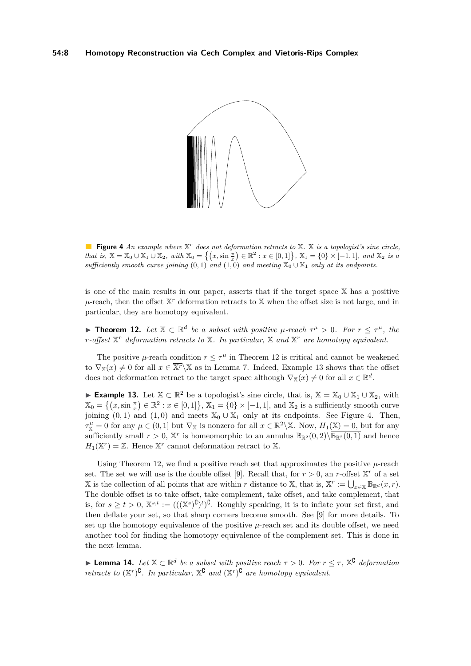<span id="page-7-2"></span>

**Figure 4** An example where  $X^r$  does not deformation retracts to X. X is a topologist's sine circle, *that is,*  $\mathbb{X} = \mathbb{X}_0 \cup \mathbb{X}_1 \cup \mathbb{X}_2$ *, with*  $\mathbb{X}_0 = \left\{ (x, \sin \frac{\pi}{x}) \in \mathbb{R}^2 : x \in [0, 1] \right\}$ ,  $\mathbb{X}_1 = \{0\} \times [-1, 1]$ *, and*  $\mathbb{X}_2$  *is a sufficiently smooth curve joining*  $(0,1)$  *and*  $(1,0)$  *and meeting*  $\mathbb{X}_0 \cup \mathbb{X}_1$  *only at its endpoints.* 

is one of the main results in our paper, asserts that if the target space X has a positive  $\mu$ -reach, then the offset  $\mathbb{X}^r$  deformation retracts to  $\mathbb X$  when the offset size is not large, and in particular, they are homotopy equivalent.

<span id="page-7-0"></span>**Find 12.** Let  $X \subset \mathbb{R}^d$  be a subset with positive  $\mu$ -reach  $\tau^{\mu} > 0$ . For  $r \leq \tau^{\mu}$ , the *r-offset* X *<sup>r</sup> deformation retracts to* X*. In particular,* X *and* X *<sup>r</sup> are homotopy equivalent.*

The positive  $\mu$ -reach condition  $r \leq \tau^{\mu}$  in Theorem [12](#page-7-0) is critical and cannot be weakened to  $\nabla_{\mathbb{X}}(x) \neq 0$  for all  $x \in \overline{\mathbb{X}^r} \backslash \mathbb{X}$  as in Lemma [7.](#page-4-2) Indeed, Example [13](#page-7-1) shows that the offset does not deformation retract to the target space although  $\nabla_{\mathbb{X}}(x) \neq 0$  for all  $x \in \mathbb{R}^d$ .

<span id="page-7-1"></span>**Example 13.** Let  $\mathbb{X} \subset \mathbb{R}^2$  be a topologist's sine circle, that is,  $\mathbb{X} = \mathbb{X}_0 \cup \mathbb{X}_1 \cup \mathbb{X}_2$ , with  $\mathbb{X}_0 = \left\{ (x, \sin \frac{\pi}{x}) \in \mathbb{R}^2 : x \in [0,1] \right\}, \mathbb{X}_1 = \{0\} \times [-1,1]$ , and  $\mathbb{X}_2$  is a sufficiently smooth curve joining  $(0, 1)$  and  $(1, 0)$  and meets  $\mathbb{X}_0 \cup \mathbb{X}_1$  only at its endpoints. See Figure [4.](#page-7-2) Then,  $\tau_{\mathbb{X}}^{\mu} = 0$  for any  $\mu \in (0,1]$  but  $\nabla_{\mathbb{X}}$  is nonzero for all  $x \in \mathbb{R}^2 \setminus \mathbb{X}$ . Now,  $H_1(\mathbb{X}) = 0$ , but for any sufficiently small  $r > 0$ ,  $X^r$  is homeomorphic to an annulus  $\mathbb{B}_{\mathbb{R}^2}(0,2)\setminus\overline{\mathbb{B}_{\mathbb{R}^2}(0,1)}$  and hence  $H_1(\mathbb{X}^r) = \mathbb{Z}$ . Hence  $\mathbb{X}^r$  cannot deformation retract to  $\mathbb{X}$ .

Using Theorem [12,](#page-7-0) we find a positive reach set that approximates the positive  $\mu$ -reach set. The set we will use is the double offset [\[9\]](#page-17-13). Recall that, for  $r > 0$ , an *r*-offset  $X^r$  of a set X is the collection of all points that are within *r* distance to X, that is,  $X^r := \bigcup_{x \in X} \mathbb{B}_{\mathbb{R}^d}(x, r)$ . The double offset is to take offset, take complement, take offset, and take complement, that is, for  $s \ge t > 0$ ,  $\mathbb{X}^{s,t} := (((\mathbb{X}^s)^{\complement})^t)^{\complement}$ . Roughly speaking, it is to inflate your set first, and then deflate your set, so that sharp corners become smooth. See [\[9\]](#page-17-13) for more details. To set up the homotopy equivalence of the positive *µ*-reach set and its double offset, we need another tool for finding the homotopy equivalence of the complement set. This is done in the next lemma.

<span id="page-7-3"></span>**► Lemma 14.** Let  $\mathbb{X} \subset \mathbb{R}^d$  be a subset with positive reach  $\tau > 0$ . For  $r \leq \tau$ ,  $\mathbb{X}^{\complement}$  deformation *retracts to*  $(X^r)^C$ . In particular,  $X^C$  and  $(X^r)^C$  are homotopy equivalent.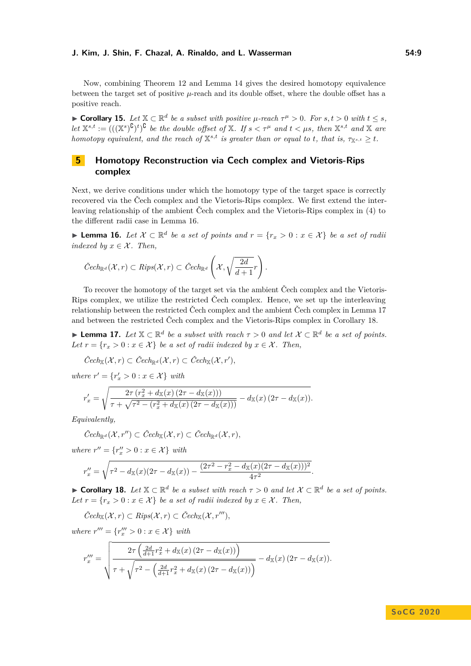Now, combining Theorem [12](#page-7-0) and Lemma [14](#page-7-3) gives the desired homotopy equivalence between the target set of positive *µ*-reach and its double offset, where the double offset has a positive reach.

<span id="page-8-3"></span> $\blacktriangleright$  **Corollary 15.** Let  $\mathbb{X} \subset \mathbb{R}^d$  *be a subset with positive μ*-reach  $τ^μ > 0$ *. For*  $s, t > 0$  *with*  $t ≤ s$ *,*  $let\ X^{s,t} := (((X^s)^{\complement})^t)^{\complement}$  *be the double offset of* X*. If*  $s < \tau^{\mu}$  *and*  $t < \mu s$ *, then*  $X^{s,t}$  *and* X *are homotopy equivalent, and the reach of*  $\mathbb{X}^{s,t}$  *is greater than or equal to t, that is,*  $\tau_{\mathbb{X}^{s,t}} \geq t$ .

# **5 Homotopy Reconstruction via Cech complex and Vietoris-Rips complex**

Next, we derive conditions under which the homotopy type of the target space is correctly recovered via the Čech complex and the Vietoris-Rips complex. We first extend the interleaving relationship of the ambient Čech complex and the Vietoris-Rips complex in [\(4\)](#page-2-3) to the different radii case in Lemma [16.](#page-8-0)

<span id="page-8-0"></span>▶ **Lemma 16.** Let  $X \subset \mathbb{R}^d$  be a set of points and  $r = \{r_x > 0 : x \in X\}$  be a set of radii *indexed by*  $x \in \mathcal{X}$ *. Then,* 

$$
\check{C}ech_{\mathbb{R}^d}(\mathcal{X},r)\subset Rips(\mathcal{X},r)\subset \check{C}ech_{\mathbb{R}^d}\left(\mathcal{X},\sqrt{\frac{2d}{d+1}}r\right).
$$

To recover the homotopy of the target set via the ambient Čech complex and the Vietoris-Rips complex, we utilize the restricted Čech complex. Hence, we set up the interleaving relationship between the restricted Čech complex and the ambient Čech complex in Lemma [17](#page-8-1) and between the restricted Čech complex and the Vietoris-Rips complex in Corollary [18.](#page-8-2)

<span id="page-8-1"></span>**► Lemma 17.** Let  $\mathbb{X} \subset \mathbb{R}^d$  be a subset with reach  $\tau > 0$  and let  $\mathcal{X} \subset \mathbb{R}^d$  be a set of points. *Let*  $r = \{r_x > 0 : x \in \mathcal{X}\}\$ be a set of radii indexed by  $x \in \mathcal{X}$ . Then,

$$
\check{C}ech_{\mathbb{X}}(\mathcal{X},r)\subset \check{C}ech_{\mathbb{R}^d}(\mathcal{X},r)\subset \check{C}ech_{\mathbb{X}}(\mathcal{X},r'),
$$

*where*  $r' = \{r'_x > 0 : x \in \mathcal{X}\}\$  *with* 

$$
r'_x = \sqrt{\frac{2\tau (r_x^2 + d_{\mathbb{X}}(x) (2\tau - d_{\mathbb{X}}(x)))}{\tau + \sqrt{\tau^2 - (r_x^2 + d_{\mathbb{X}}(x) (2\tau - d_{\mathbb{X}}(x)))}} - d_{\mathbb{X}}(x) (2\tau - d_{\mathbb{X}}(x)).}
$$

*Equivalently,*

$$
\check{C}ech_{\mathbb{R}^d}(\mathcal{X},r'')\subset \check{C}ech_{\mathbb{X}}(\mathcal{X},r)\subset \check{C}ech_{\mathbb{R}^d}(\mathcal{X},r),
$$

*where*  $r'' = \{r''_x > 0 : x \in \mathcal{X}\}\$  *with* 

$$
r''_x = \sqrt{\tau^2 - d_{\mathbb{X}}(x)(2\tau - d_{\mathbb{X}}(x)) - \frac{(2\tau^2 - r_x^2 - d_{\mathbb{X}}(x)(2\tau - d_{\mathbb{X}}(x)))^2}{4\tau^2}}.
$$

<span id="page-8-2"></span>► **Corollary 18.** *Let*  $\mathbb{X} \subset \mathbb{R}^d$  *be a subset with reach*  $\tau > 0$  *and let*  $\mathcal{X} \subset \mathbb{R}^d$  *be a set of points. Let*  $r = \{r_x > 0 : x \in \mathcal{X}\}\$ be a set of radii indexed by  $x \in \mathcal{X}$ . Then,

 $\check{C}ech_{\mathbb{X}}(\mathcal{X}, r) \subset Rips(\mathcal{X}, r) \subset \check{C}ech_{\mathbb{X}}(\mathcal{X}, r''')$ ,

*where*  $r''' = \{r'''_x > 0 : x \in \mathcal{X}\}\$  *with* 

$$
r'''_x = \sqrt{\frac{2\tau \left(\frac{2d}{d+1}r_x^2 + d_{\mathbb{X}}(x)\left(2\tau - d_{\mathbb{X}}(x)\right)\right)}{\tau + \sqrt{\tau^2 - \left(\frac{2d}{d+1}r_x^2 + d_{\mathbb{X}}(x)\left(2\tau - d_{\mathbb{X}}(x)\right)\right)}} - d_{\mathbb{X}}(x)\left(2\tau - d_{\mathbb{X}}(x)\right)}.
$$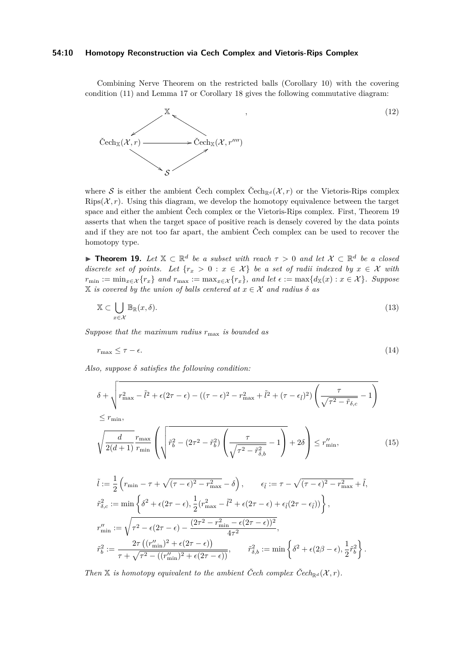#### **54:10 Homotopy Reconstruction via Cech Complex and Vietoris-Rips Complex**

Combining Nerve Theorem on the restricted balls (Corollary [10\)](#page-6-0) with the covering condition [\(11\)](#page-6-2) and Lemma [17](#page-8-1) or Corollary [18](#page-8-2) gives the following commutative diagram:

<span id="page-9-2"></span>

where S is either the ambient Čech complex Čech<sub>Rd</sub> ( $\mathcal{X}, r$ ) or the Vietoris-Rips complex  $Rips(\mathcal{X}, r)$ . Using this diagram, we develop the homotopy equivalence between the target space and either the ambient Čech complex or the Vietoris-Rips complex. First, Theorem [19](#page-9-0) asserts that when the target space of positive reach is densely covered by the data points and if they are not too far apart, the ambient Čech complex can be used to recover the homotopy type.

<span id="page-9-0"></span>**► Theorem 19.** Let  $\mathbb{X} \subset \mathbb{R}^d$  be a subset with reach  $\tau > 0$  and let  $\mathcal{X} \subset \mathbb{R}^d$  be a closed *discrete set of points.* Let  $\{r_x > 0 : x \in \mathcal{X}\}\$ be a set of radii indexed by  $x \in \mathcal{X}$  with  $r_{\min} := \min_{x \in \mathcal{X}} \{r_x\}$  *and*  $r_{\max} := \max_{x \in \mathcal{X}} \{r_x\}$ *, and let*  $\epsilon := \max \{d_{\mathbb{X}}(x) : x \in \mathcal{X}\}$ *. Suppose* X *is covered by the union of balls centered at x* ∈ X *and radius δ as*

<span id="page-9-3"></span><span id="page-9-1"></span>
$$
\mathbb{X} \subset \bigcup_{x \in \mathcal{X}} \mathbb{B}_{\mathbb{R}}(x,\delta). \tag{13}
$$

*Suppose that the maximum radius r*max *is bounded as*

$$
r_{\text{max}} \leq \tau - \epsilon. \tag{14}
$$

*Also, suppose δ satisfies the following condition:*

$$
\delta + \sqrt{r_{\max}^2 - \tilde{l}^2 + \epsilon (2\tau - \epsilon) - ((\tau - \epsilon)^2 - r_{\max}^2 + \tilde{l}^2 + (\tau - \epsilon_{\tilde{l}})^2) \left(\frac{\tau}{\sqrt{\tau^2 - \tilde{r}_{\delta,c}}} - 1\right)}
$$
  
\n
$$
\leq r_{\min},
$$
  
\n
$$
\sqrt{\frac{d}{2(d+1)} r_{\min}} \left( \sqrt{\tilde{r}_b^2 - (2\tau^2 - \tilde{r}_b^2) \left(\frac{\tau}{\sqrt{\tau^2 - \tilde{r}_{\delta,b}^2}} - 1\right)} + 2\delta \right) \leq r_{\min}^{\prime\prime},
$$
\n(15)

<span id="page-9-4"></span>
$$
\tilde{l} := \frac{1}{2} \left( r_{\min} - \tau + \sqrt{(\tau - \epsilon)^2 - r_{\max}^2} - \delta \right), \qquad \epsilon_{\tilde{l}} := \tau - \sqrt{(\tau - \epsilon)^2 - r_{\max}^2} + \tilde{l},
$$
\n
$$
\tilde{r}_{\delta,c}^2 := \min \left\{ \delta^2 + \epsilon (2\tau - \epsilon), \frac{1}{2} (r_{\max}^2 - \tilde{l}^2 + \epsilon (2\tau - \epsilon) + \epsilon_{\tilde{l}} (2\tau - \epsilon_{\tilde{l}})) \right\},
$$
\n
$$
r_{\min}'' := \sqrt{\tau^2 - \epsilon (2\tau - \epsilon) - \frac{(2\tau^2 - r_{\min}^2 - \epsilon (2\tau - \epsilon))^2}{4\tau^2}},
$$
\n
$$
\tilde{r}_b^2 := \frac{2\tau \left( (r_{\min}''^2) + \epsilon (2\tau - \epsilon) \right)}{\tau + \sqrt{\tau^2 - ((r_{\min}'')^2 + \epsilon (2\tau - \epsilon))}}, \qquad \tilde{r}_{\delta,b}^2 := \min \left\{ \delta^2 + \epsilon (2\beta - \epsilon), \frac{1}{2} \tilde{r}_b^2 \right\}.
$$

*Then*  $X$  *is homotopy equivalent to the ambient Čech complex Čech*<sub> $\mathbb{R}^d$  ( $\mathcal{X}, r$ ).</sub>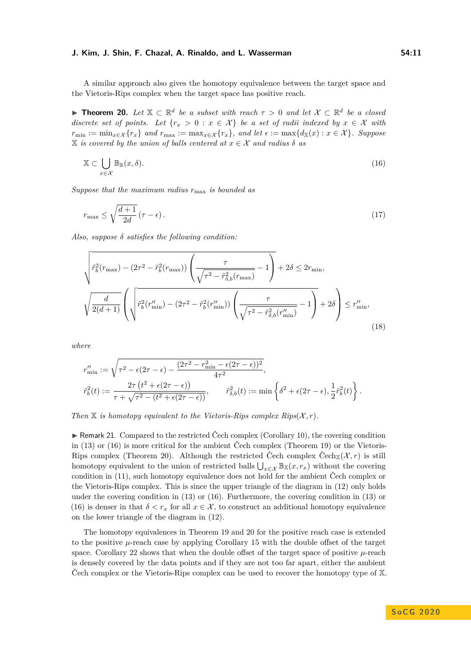A similar approach also gives the homotopy equivalence between the target space and the Vietoris-Rips complex when the target space has positive reach.

<span id="page-10-1"></span>**► Theorem 20.** Let  $\mathbb{X} \subset \mathbb{R}^d$  be a subset with reach  $\tau > 0$  and let  $\mathcal{X} \subset \mathbb{R}^d$  be a closed *discrete set of points.* Let  $\{r_x > 0 : x \in \mathcal{X}\}\$ be a set of radii indexed by  $x \in \mathcal{X}$  with  $r_{\min} := \min_{x \in \mathcal{X}} \{r_x\}$  *and*  $r_{\max} := \max_{x \in \mathcal{X}} \{r_x\}$ *, and let*  $\epsilon := \max \{d_{\mathbb{X}}(x) : x \in \mathcal{X}\}$ *. Suppose*  $X$  *is covered by the union of balls centered at*  $x \in \mathcal{X}$  *and radius*  $\delta$  *as* 

<span id="page-10-0"></span>
$$
\mathbb{X} \subset \bigcup_{x \in \mathcal{X}} \mathbb{B}_{\mathbb{R}}(x,\delta). \tag{16}
$$

*Suppose that the maximum radius r*max *is bounded as*

<span id="page-10-2"></span>
$$
r_{\max} \le \sqrt{\frac{d+1}{2d}} \left( \tau - \epsilon \right). \tag{17}
$$

*Also, suppose δ satisfies the following condition:*

$$
\sqrt{\tilde{r}_b^2(r_{\max}) - (2\tau^2 - \tilde{r}_b^2(r_{\max})) \left( \frac{\tau}{\sqrt{\tau^2 - \tilde{r}_{\delta,b}^2(r_{\max})}} - 1 \right)} + 2\delta \le 2r_{\min},
$$
\n
$$
\sqrt{\frac{d}{2(d+1)} \left( \sqrt{\tilde{r}_b^2(r_{\min}'') - (2\tau^2 - \tilde{r}_b^2(r_{\min}'')) \left( \frac{\tau}{\sqrt{\tau^2 - \tilde{r}_{\delta,b}^2(r_{\min}'')}} - 1 \right)} + 2\delta \right) \le r_{\min}''},
$$
\n(18)

*where*

<span id="page-10-3"></span>
$$
r''_{\min} := \sqrt{\tau^2 - \epsilon (2\tau - \epsilon) - \frac{(2\tau^2 - r_{\min}^2 - \epsilon (2\tau - \epsilon))^2}{4\tau^2}},
$$
  

$$
\tilde{r}_b^2(t) := \frac{2\tau (t^2 + \epsilon (2\tau - \epsilon))}{\tau + \sqrt{\tau^2 - (t^2 + \epsilon (2\tau - \epsilon))}}, \qquad \tilde{r}_{\delta,b}^2(t) := \min \left\{ \delta^2 + \epsilon (2\tau - \epsilon), \frac{1}{2} \tilde{r}_b^2(t) \right\}.
$$

*Then*  $\mathbb X$  *is homotopy equivalent to the Vietoris-Rips complex Rips* $(\mathcal X, r)$ *.* 

 $\triangleright$  Remark 21. Compared to the restricted Čech complex (Corollary [10\)](#page-6-0), the covering condition in [\(13\)](#page-9-1) or [\(16\)](#page-10-0) is more critical for the ambient Čech complex (Theorem [19\)](#page-9-0) or the Vietoris-Rips complex (Theorem [20\)](#page-10-1). Although the restricted Čech complex Čech<sub>X</sub> $(\mathcal{X}, r)$  is still homotopy equivalent to the union of restricted balls  $\bigcup_{x \in \mathcal{X}} \mathbb{B}_{\mathbb{X}}(x, r_x)$  without the covering condition in [\(11\)](#page-6-2), such homotopy equivalence does not hold for the ambient Čech complex or the Vietoris-Rips complex. This is since the upper triangle of the diagram in [\(12\)](#page-9-2) only holds under the covering condition in [\(13\)](#page-9-1) or [\(16\)](#page-10-0). Furthermore, the covering condition in [\(13\)](#page-9-1) or [\(16\)](#page-10-0) is denser in that  $\delta < r_x$  for all  $x \in \mathcal{X}$ , to construct an additional homotopy equivalence on the lower triangle of the diagram in [\(12\)](#page-9-2).

The homotopy equivalences in Theorem [19](#page-9-0) and [20](#page-10-1) for the positive reach case is extended to the positive  $\mu$ -reach case by applying Corollary [15](#page-8-3) with the double offset of the target space. Corollary [22](#page-11-0) shows that when the double offset of the target space of positive  $\mu$ -reach is densely covered by the data points and if they are not too far apart, either the ambient Čech complex or the Vietoris-Rips complex can be used to recover the homotopy type of X.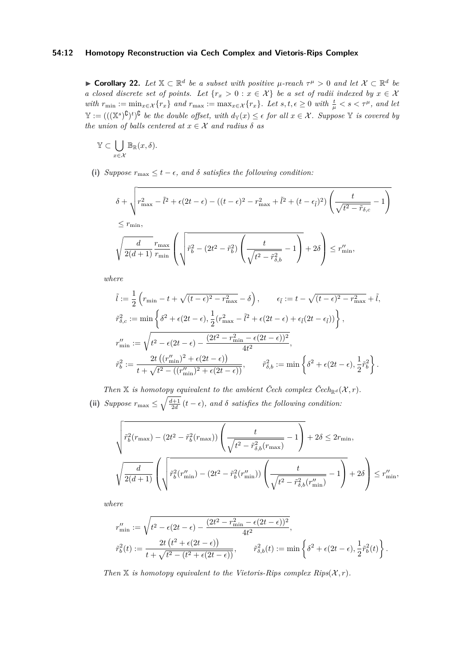### **54:12 Homotopy Reconstruction via Cech Complex and Vietoris-Rips Complex**

<span id="page-11-0"></span>**► Corollary 22.** Let  $\mathbb{X} \subset \mathbb{R}^d$  be a subset with positive  $\mu$ -reach  $\tau^{\mu} > 0$  and let  $\mathcal{X} \subset \mathbb{R}^d$  be *a closed discrete set of points. Let*  $\{r_x > 0 : x \in \mathcal{X}\}$  *be a set of radii indexed by*  $x \in \mathcal{X}$  $with r_{\min} := \min_{x \in \mathcal{X}} \{r_x\}$  and  $r_{\max} := \max_{x \in \mathcal{X}} \{r_x\}$ . Let  $s, t, \epsilon \geq 0$  with  $\frac{t}{\mu} < s < \tau^{\mu}$ , and let  $\mathbb{Y} := (((\mathbb{X}^s)^{\complement})^t)$  *be the double offset, with*  $d_{\mathbb{Y}}(x) \leq \epsilon$  for all  $x \in \mathcal{X}$ *. Suppose*  $\mathbb{Y}$  *is covered by the union of balls centered at*  $x \in \mathcal{X}$  *and radius*  $\delta$  *as* 

$$
\mathbb{Y} \subset \bigcup_{x \in \mathcal{X}} \mathbb{B}_{\mathbb{R}}(x,\delta).
$$

(i) *Suppose*  $r_{\text{max}} \leq t - \epsilon$ , and  $\delta$  *satisfies the following condition:* 

$$
\delta + \sqrt{r_{\max}^2 - \tilde{l}^2 + \epsilon(2t - \epsilon) - ((t - \epsilon)^2 - r_{\max}^2 + \tilde{l}^2 + (t - \epsilon_{\tilde{l}})^2) \left(\frac{t}{\sqrt{t^2 - \tilde{r}_{\delta,c}}} - 1\right)}
$$
  
\n
$$
\leq r_{\min},
$$
  
\n
$$
\sqrt{\frac{d}{2(d+1)} r_{\min}} \left( \sqrt{\tilde{r}_b^2 - (2t^2 - \tilde{r}_b^2) \left(\frac{t}{\sqrt{t^2 - \tilde{r}_{\delta,b}^2}} - 1\right)} + 2\delta \right) \leq r_{\min}^{\prime\prime},
$$

*where*

$$
\begin{aligned} \tilde{l} &:= \frac{1}{2}\left(r_{\min} - t + \sqrt{(t-\epsilon)^2 - r_{\max}^2} - \delta\right), & \epsilon_{\tilde{l}} &:= t - \sqrt{(t-\epsilon)^2 - r_{\max}^2} + \tilde{l}, \\ \tilde{r}_{\delta,c}^2 &:= \min\left\{\delta^2 + \epsilon(2t-\epsilon), \frac{1}{2}(r_{\max}^2 - \tilde{l}^2 + \epsilon(2t-\epsilon) + \epsilon_{\tilde{l}}(2t-\epsilon))\right\}, \\ r_{\min}' &:= \sqrt{t^2 - \epsilon(2t-\epsilon) - \frac{(2t^2 - r_{\min}^2 - \epsilon(2t-\epsilon))^2}{4t^2}}, \\ \tilde{r}_b^2 &:= \frac{2t\left((r_{\min}'')^2 + \epsilon(2t-\epsilon)\right)}{t + \sqrt{t^2 - \left((r_{\min}'')^2 + \epsilon(2t-\epsilon)\right)}}, & \tilde{r}_{\delta,b}^2 &:= \min\left\{\delta^2 + \epsilon(2t-\epsilon), \frac{1}{2}\tilde{r}_b^2\right\}. \end{aligned}
$$

*Then*  $X$  *is homotopy equivalent to the ambient Čech complex Čech* $R^d$  ( $X, r$ ). (ii) *Suppose*  $r_{\text{max}} \leq \sqrt{\frac{d+1}{2d}} (t - \epsilon)$ , and  $\delta$  satisfies the following condition:

$$
\sqrt{\widetilde{r}_b^2(r_\text{max}) - (2t^2 - \widetilde{r}_b^2(r_\text{max}))\left(\frac{t}{\sqrt{t^2 - \widetilde{r}_{\delta,b}^2(r_\text{max})}} - 1\right)} + 2\delta \le 2r_\text{min},
$$
  

$$
\sqrt{\frac{d}{2(d+1)}} \left(\sqrt{\widetilde{r}_b^2(r_\text{min}'') - (2t^2 - \widetilde{r}_b^2(r_\text{min}''))\left(\frac{t}{\sqrt{t^2 - \widetilde{r}_{\delta,b}^2(r_\text{min}'')}} - 1\right)} + 2\delta \right) \le r_\text{min}''
$$

*where*

$$
r''_{\min} := \sqrt{t^2 - \epsilon(2t - \epsilon) - \frac{(2t^2 - r_{\min}^2 - \epsilon(2t - \epsilon))^2}{4t^2}},
$$
  

$$
\tilde{r}_b^2(t) := \frac{2t\left(t^2 + \epsilon(2t - \epsilon)\right)}{t + \sqrt{t^2 - (t^2 + \epsilon(2t - \epsilon))}}, \qquad \tilde{r}_{\delta,b}^2(t) := \min\left\{\delta^2 + \epsilon(2t - \epsilon), \frac{1}{2}\tilde{r}_b^2(t)\right\}.
$$

*Then*  $X$  *is homotopy equivalent to the Vietoris-Rips complex Rips*( $X, r$ ).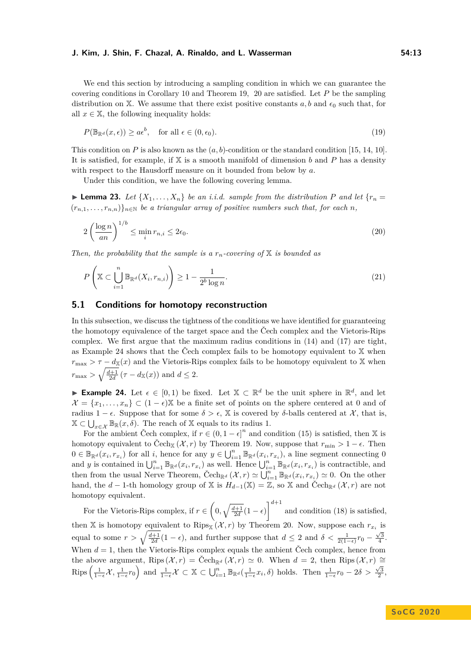We end this section by introducing a sampling condition in which we can guarantee the covering conditions in Corollary [10](#page-6-0) and Theorem [19,](#page-9-0) [20](#page-10-1) are satisfied. Let *P* be the sampling distribution on X. We assume that there exist positive constants  $a, b$  and  $\epsilon_0$  such that, for all  $x \in \mathbb{X}$ , the following inequality holds:

$$
P(\mathbb{B}_{\mathbb{R}^d}(x,\epsilon)) \ge a\epsilon^b, \quad \text{for all } \epsilon \in (0,\epsilon_0). \tag{19}
$$

This condition on *P* is also known as the (*a, b*)-condition or the standard condition [\[15,](#page-17-16) [14,](#page-17-17) [10\]](#page-17-18). It is satisfied, for example, if X is a smooth manifold of dimension *b* and *P* has a density with respect to the Hausdorff measure on it bounded from below by *a*.

Under this condition, we have the following covering lemma.

**Example 123.** Let  $\{X_1, \ldots, X_n\}$  be an *i.i.d.* sample from the distribution P and let  $\{r_n =$  $(r_{n,1},\ldots,r_{n,n})\}_{n\in\mathbb{N}}$  *be a triangular array of positive numbers such that, for each n*,

$$
2\left(\frac{\log n}{an}\right)^{1/b} \le \min_i r_{n,i} \le 2\epsilon_0. \tag{20}
$$

*Then, the probability that the sample is a*  $r_n$ -covering of X *is bounded as* 

$$
P\left(\mathbb{X}\subset \bigcup_{i=1}^{n} \mathbb{B}_{\mathbb{R}^{d}}(X_{i}, r_{n,i})\right) \geq 1 - \frac{1}{2^{b}\log n}.
$$
\n
$$
(21)
$$

### <span id="page-12-1"></span>**5.1 Conditions for homotopy reconstruction**

In this subsection, we discuss the tightness of the conditions we have identified for guaranteeing the homotopy equivalence of the target space and the Čech complex and the Vietoris-Rips complex. We first argue that the maximum radius conditions in [\(14\)](#page-9-3) and [\(17\)](#page-10-2) are tight, as Example [24](#page-12-0) shows that the Čech complex fails to be homotopy equivalent to  $X$  when  $r_{\text{max}} > \tau - d_{\mathbb{X}}(x)$  and the Vietoris-Rips complex fails to be homotopy equivalent to X when  $r_{\text{max}} > \sqrt{\frac{d+1}{2d}} (\tau - d_{\mathbb{X}}(x))$  and  $d \leq 2$ .

<span id="page-12-0"></span>**Example 24.** Let  $\epsilon \in [0,1)$  be fixed. Let  $\mathbb{X} \subset \mathbb{R}^d$  be the unit sphere in  $\mathbb{R}^d$ , and let  $\mathcal{X} = \{x_1, \ldots, x_n\} \subset (1 - \epsilon) \mathbb{X}$  be a finite set of points on the sphere centered at 0 and of radius  $1 - \epsilon$ . Suppose that for some  $\delta > \epsilon$ , X is covered by  $\delta$ -balls centered at X, that is,  $\mathbb{X} \subset \bigcup_{x \in \mathcal{X}} \mathbb{B}_{\mathbb{R}}(x, \delta)$ . The reach of X equals to its radius 1.

For the ambient Čech complex, if  $r \in (0, 1 - \epsilon]^n$  and condition [\(15\)](#page-9-4) is satisfied, then X is homotopy equivalent to Čech<sub>X</sub> ( $\mathcal{X}, r$ ) by Theorem [19.](#page-9-0) Now, suppose that  $r_{\min} > 1 - \epsilon$ . Then  $0 \in \mathbb{B}_{\mathbb{R}^d}(x_i, r_{x_i})$  for all *i*, hence for any  $y \in \bigcup_{i=1}^n \mathbb{B}_{\mathbb{R}^d}(x_i, r_{x_i})$ , a line segment connecting 0 and *y* is contained in  $\bigcup_{i=1}^n \mathbb{B}_{\mathbb{R}^d}(x_i, r_{x_i})$  as well. Hence  $\bigcup_{i=1}^n \mathbb{B}_{\mathbb{R}^d}(x_i, r_{x_i})$  is contractible, and then from the usual Nerve Theorem, Čech<sub>R</sub><sub>d</sub> ( $\mathcal{X}, r$ )  $\simeq \bigcup_{i=1}^{n} \mathbb{B}_{\mathbb{R}^d}(x_i, r_{x_i}) \simeq 0$ . On the other hand, the *d* − 1-th homology group of X is  $H_{d-1}(\mathbb{X}) = \mathbb{Z}$ , so X and Čech<sub>R</sub><sub>d</sub> ( $\mathcal{X}, r$ ) are not homotopy equivalent.

For the Vietoris-Rips complex, if  $r \in \left(0, \sqrt{\frac{d+1}{2d}}(1-\epsilon)\right]^{d+1}$  and condition [\(18\)](#page-10-3) is satisfied, then X is homotopy equivalent to Rips<sub>X</sub> $(\mathcal{X}, r)$  by Theorem [20.](#page-10-1) Now, suppose each  $r_{x_i}$  is equal to some  $r > \sqrt{\frac{d+1}{2d}}(1-\epsilon)$ , and further suppose that  $d \leq 2$  and  $\delta < \frac{1}{2(1-\epsilon)}r_0 - \frac{\sqrt{3}}{4}$ . When  $d = 1$ , then the Vietoris-Rips complex equals the ambient Čech complex, hence from the above argument, Rips $(\mathcal{X}, r) = \text{Čech}_{\mathbb{R}^d}(\mathcal{X}, r) \simeq 0$ . When  $d = 2$ , then Rips $(\mathcal{X}, r) \cong$  $\text{Rips}\left(\frac{1}{1-\epsilon}\mathcal{X},\frac{1}{1-\epsilon}r_0\right)$  and  $\frac{1}{1-\epsilon}\mathcal{X}\subset\mathbb{X}\subset\bigcup_{i=1}^n\mathbb{B}_{\mathbb{R}^d}(\frac{1}{1-\epsilon}x_i,\delta)$  holds. Then  $\frac{1}{1-\epsilon}r_0-2\delta>\frac{\sqrt{3}}{2}$ ,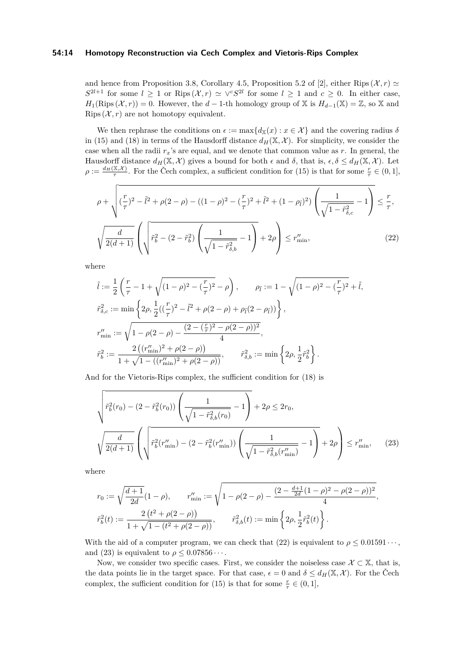#### **54:14 Homotopy Reconstruction via Cech Complex and Vietoris-Rips Complex**

and hence from Proposition 3.8, Corollary 4.5, Proposition 5.2 of [\[2\]](#page-16-6), either Rips  $(\mathcal{X}, r) \simeq$  $S^{2l+1}$  for some  $l \geq 1$  or Rips $(\mathcal{X}, r) \simeq \sqrt{c} S^{2l}$  for some  $l \geq 1$  and  $c \geq 0$ . In either case,  $H_1(\text{Rips }(\mathcal{X},r)) = 0$ . However, the *d* − 1-th homology group of X is  $H_{d-1}(\mathbb{X}) = \mathbb{Z}$ , so X and Rips  $(\mathcal{X}, r)$  are not homotopy equivalent.

We then rephrase the conditions on  $\epsilon := \max\{d_{\mathbb{X}}(x) : x \in \mathcal{X}\}\)$  and the covering radius  $\delta$ in [\(15\)](#page-9-4) and [\(18\)](#page-10-3) in terms of the Hausdorff distance  $d_H(\mathbb{X}, \mathcal{X})$ . For simplicity, we consider the case when all the radii *rx*'s are equal, and we denote that common value as *r*. In general, the Hausdorff distance  $d_H(\mathbb{X}, \mathcal{X})$  gives a bound for both  $\epsilon$  and  $\delta$ , that is,  $\epsilon, \delta \leq d_H(\mathbb{X}, \mathcal{X})$ . Let  $\rho := \frac{d_H(\mathbb{X}, \mathcal{X})}{\tau}$ . For the Čech complex, a sufficient condition for [\(15\)](#page-9-4) is that for some  $\frac{r}{\tau} \in (0, 1]$ ,

$$
\rho + \sqrt{\left(\frac{r}{\tau}\right)^2 - \tilde{l}^2 + \rho(2-\rho) - \left((1-\rho)^2 - \left(\frac{r}{\tau}\right)^2 + \tilde{l}^2 + (1-\rho_{\tilde{l}})^2\right) \left(\frac{1}{\sqrt{1-\tilde{r}_{\delta,c}^2}} - 1\right)} \le \frac{r}{\tau},
$$
  

$$
\sqrt{\frac{d}{2(d+1)}} \left(\sqrt{\tilde{r}_b^2 - (2-\tilde{r}_b^2) \left(\frac{1}{\sqrt{1-\tilde{r}_{\delta,b}^2}} - 1\right)} + 2\rho\right) \le r_{\min}''
$$
, (22)

where

<span id="page-13-0"></span>
$$
\begin{split} \tilde{l} &:= \frac{1}{2}\left(\frac{r}{\tau}-1+\sqrt{(1-\rho)^2-(\frac{r}{\tau})^2}-\rho\right), \qquad \rho_{\tilde{l}} := 1-\sqrt{(1-\rho)^2-(\frac{r}{\tau})^2}+\tilde{l}, \\ \tilde{r}_{\delta,c}^2 &:= \min\left\{2\rho, \frac{1}{2}((\frac{r}{\tau})^2-\tilde{l}^2+\rho(2-\rho)+\rho_{\tilde{l}}(2-\rho_{\tilde{l}}))\right\}, \\ r_{\min}^{\prime\prime} &:= \sqrt{1-\rho(2-\rho)-\frac{(2-(\frac{r}{\tau})^2-\rho(2-\rho))^2}{4}}, \\ \tilde{r}_b^2 &:= \frac{2\left((r_{\min}^{\prime\prime})^2+\rho(2-\rho)\right)}{1+\sqrt{1-((r_{\min}^{\prime\prime})^2+\rho(2-\rho))}}, \qquad \tilde{r}_{\delta,b}^2 := \min\left\{2\rho, \frac{1}{2}\tilde{r}_b^2\right\}. \end{split}
$$

And for the Vietoris-Rips complex, the sufficient condition for [\(18\)](#page-10-3) is

<span id="page-13-1"></span>
$$
\sqrt{\tilde{r}_b^2(r_0) - (2 - \tilde{r}_b^2(r_0)) \left(\frac{1}{\sqrt{1 - \tilde{r}_{\delta,b}^2(r_0)}} - 1\right)} + 2\rho \le 2r_0,
$$
\n
$$
\sqrt{\frac{d}{2(d+1)} \left(\sqrt{\tilde{r}_b^2(r_{\min}''') - (2 - \tilde{r}_b^2(r_{\min}'')) \left(\frac{1}{\sqrt{1 - \tilde{r}_{\delta,b}^2(r_{\min}'') - 1}}\right)} + 2\rho\right)} \le r_{\min}''
$$
\n(23)

where

$$
r_0 := \sqrt{\frac{d+1}{2d}} (1 - \rho), \qquad r''_{\min} := \sqrt{1 - \rho(2 - \rho) - \frac{(2 - \frac{d+1}{2d}(1 - \rho)^2 - \rho(2 - \rho))^2}{4}},
$$
  

$$
\tilde{r}_b^2(t) := \frac{2\left(t^2 + \rho(2 - \rho)\right)}{1 + \sqrt{1 - (t^2 + \rho(2 - \rho))}}, \qquad \tilde{r}_{\delta,b}^2(t) := \min\left\{2\rho, \frac{1}{2}\tilde{r}_b^2(t)\right\}.
$$

With the aid of a computer program, we can check that [\(22\)](#page-13-0) is equivalent to  $\rho \leq 0.01591 \cdots$ , and [\(23\)](#page-13-1) is equivalent to  $\rho \leq 0.07856 \cdots$ .

Now, we consider two specific cases. First, we consider the noiseless case  $\mathcal{X} \subset \mathbb{X}$ , that is, the data points lie in the target space. For that case,  $\epsilon = 0$  and  $\delta \leq d_H(\mathbb{X}, \mathcal{X})$ . For the Čech complex, the sufficient condition for [\(15\)](#page-9-4) is that for some  $\frac{r}{\tau} \in (0,1]$ ,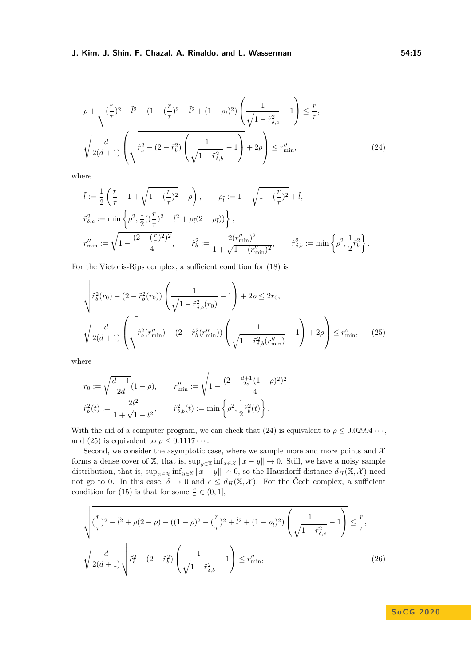$$
\rho + \sqrt{\left(\frac{r}{\tau}\right)^2 - \tilde{l}^2 - \left(1 - \left(\frac{r}{\tau}\right)^2 + \tilde{l}^2 + \left(1 - \rho_{\tilde{l}}\right)^2\right) \left(\frac{1}{\sqrt{1 - \tilde{r}_{\delta,c}^2}} - 1\right)} \le \frac{r}{\tau},
$$
\n
$$
\sqrt{\frac{d}{2(d+1)}} \left(\sqrt{\tilde{r}_b^2 - \left(2 - \tilde{r}_b^2\right) \left(\frac{1}{\sqrt{1 - \tilde{r}_{\delta,b}^2}} - 1\right)} + 2\rho\right) \le r_{\min}''
$$
\n(24)

where

$$
\begin{split} \tilde{l} &:= \frac{1}{2}\left(\frac{r}{\tau}-1+\sqrt{1-(\frac{r}{\tau})^2}-\rho\right), \qquad \rho_{\tilde{l}} := 1-\sqrt{1-(\frac{r}{\tau})^2}+\tilde{l},\\ \tilde{r}^2_{\delta,c} &:= \min\left\{\rho^2,\frac{1}{2}((\frac{r}{\tau})^2-\tilde{l}^2+\rho_{\tilde{l}}(2-\rho_{\tilde{l}}))\right\},\\ r''_{\min} &:= \sqrt{1-\frac{(2-(\frac{r}{\tau})^2)^2}{4}}, \qquad \tilde{r}^2_b := \frac{2(r''_{\min})^2}{1+\sqrt{1-(r''_{\min})^2}}, \qquad \tilde{r}^2_{\delta,b} := \min\left\{\rho^2,\frac{1}{2}\tilde{r}^2_b\right\}. \end{split}
$$

For the Vietoris-Rips complex, a sufficient condition for [\(18\)](#page-10-3) is

$$
\sqrt{\tilde{r}_b^2(r_0) - (2 - \tilde{r}_b^2(r_0)) \left( \frac{1}{\sqrt{1 - \tilde{r}_{\delta,b}^2(r_0)}} - 1 \right)} + 2\rho \le 2r_0,
$$
\n
$$
\sqrt{\frac{d}{2(d+1)} \left( \sqrt{\tilde{r}_b^2(r_{\min}'') - (2 - \tilde{r}_b^2(r_{\min}'')) \left( \frac{1}{\sqrt{1 - \tilde{r}_{\delta,b}^2(r_{\min}'')}} - 1 \right)} + 2\rho \right)} \le r_{\min}''
$$
\n(25)

<span id="page-14-2"></span><span id="page-14-1"></span><span id="page-14-0"></span>*,*

where

$$
r_0 := \sqrt{\frac{d+1}{2d}} (1 - \rho), \qquad r''_{\min} := \sqrt{1 - \frac{(2 - \frac{d+1}{2d}(1 - \rho)^2)^2}{4}}
$$

$$
\tilde{r}_b^2(t) := \frac{2t^2}{1 + \sqrt{1 - t^2}}, \qquad \tilde{r}_{\delta,b}^2(t) := \min\left\{\rho^2, \frac{1}{2}\tilde{r}_b^2(t)\right\}.
$$

With the aid of a computer program, we can check that [\(24\)](#page-14-0) is equivalent to  $\rho \leq 0.02994 \cdots$ , and [\(25\)](#page-14-1) is equivalent to  $\rho \leq 0.1117 \cdots$ .

Second, we consider the asymptotic case, where we sample more and more points and  $\mathcal X$ forms a dense cover of X, that is,  $\sup_{y \in \mathbb{X}} \inf_{x \in \mathcal{X}} ||x - y|| \to 0$ . Still, we have a noisy sample distribution, that is,  $\sup_{x \in \mathcal{X}} \inf_{y \in \mathbb{X}} ||x - y|| \to 0$ , so the Hausdorff distance  $d_H(\mathbb{X}, \mathcal{X})$  need not go to 0. In this case,  $\delta \to 0$  and  $\epsilon \leq d_H(\mathbb{X}, \mathcal{X})$ . For the Čech complex, a sufficient condition for [\(15\)](#page-9-4) is that for some  $\frac{r}{\tau} \in (0,1]$ ,

$$
\sqrt{\left(\frac{r}{\tau}\right)^2 - \tilde{l}^2 + \rho(2-\rho) - \left((1-\rho)^2 - \left(\frac{r}{\tau}\right)^2 + \tilde{l}^2 + (1-\rho_{\tilde{l}})^2\right)} \left(\frac{1}{\sqrt{1-\tilde{r}_{\delta,c}^2}} - 1\right)} \le \frac{r}{\tau},
$$
\n
$$
\sqrt{\frac{d}{2(d+1)}} \sqrt{\tilde{r}_b^2 - (2-\tilde{r}_b^2) \left(\frac{1}{\sqrt{1-\tilde{r}_{\delta,b}^2}} - 1\right)} \le r_{\min}''
$$
\n(26)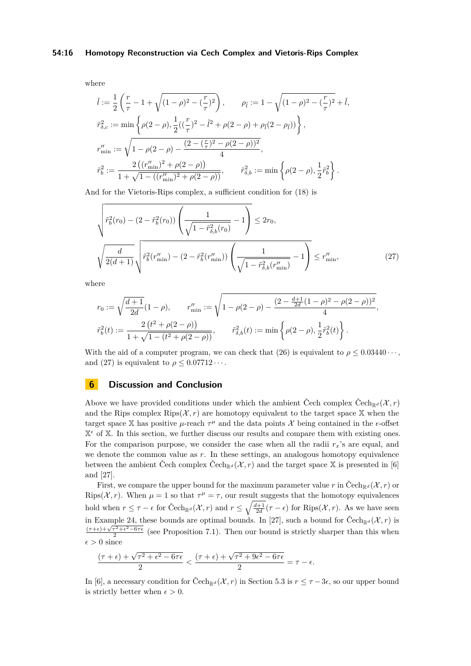### **54:16 Homotopy Reconstruction via Cech Complex and Vietoris-Rips Complex**

where

$$
\begin{split} \tilde{l} &:= \frac{1}{2}\left(\frac{r}{\tau}-1+\sqrt{(1-\rho)^2-(\frac{r}{\tau})^2}\right), \qquad \rho_{\tilde{l}} := 1-\sqrt{(1-\rho)^2-(\frac{r}{\tau})^2}+\tilde{l}, \\ \tilde{r}_{\delta,c}^2 &:= \min\left\{\rho(2-\rho), \frac{1}{2}((\frac{r}{\tau})^2-\tilde{l}^2+\rho(2-\rho)+\rho_{\tilde{l}}(2-\rho_{\tilde{l}}))\right\}, \\ r_{\min}^{\prime\prime} &:= \sqrt{1-\rho(2-\rho)-\frac{(2-(\frac{r}{\tau})^2-\rho(2-\rho))^2}{4}}, \\ \tilde{r}_b^2 &:= \frac{2\left((r_{\min}^{\prime\prime})^2+\rho(2-\rho)\right)}{1+\sqrt{1-((r_{\min}^{\prime\prime})^2+\rho(2-\rho))}}, \qquad \tilde{r}_{\delta,b}^2 := \min\left\{\rho(2-\rho), \frac{1}{2}\tilde{r}_b^2\right\}. \end{split}
$$

And for the Vietoris-Rips complex, a sufficient condition for [\(18\)](#page-10-3) is

<span id="page-15-1"></span>
$$
\sqrt{\tilde{r}_b^2(r_0) - (2 - \tilde{r}_b^2(r_0)) \left(\frac{1}{\sqrt{1 - \tilde{r}_{\delta,b}^2(r_0)}} - 1\right)} \le 2r_0,
$$
\n
$$
\sqrt{\frac{d}{2(d+1)}\sqrt{\tilde{r}_b^2(r_{\min}'') - (2 - \tilde{r}_b^2(r_{\min}'')) \left(\frac{1}{\sqrt{1 - \tilde{r}_{\delta,b}^2(r_{\min}'') - 1}}\right)} \le r_{\min}''
$$
\n(27)

where

$$
r_0 := \sqrt{\frac{d+1}{2d}} (1 - \rho), \qquad r''_{\min} := \sqrt{1 - \rho(2 - \rho) - \frac{(2 - \frac{d+1}{2d}(1 - \rho)^2 - \rho(2 - \rho))^2}{4}},
$$
  

$$
\tilde{r}_b^2(t) := \frac{2(t^2 + \rho(2 - \rho))}{1 + \sqrt{1 - (t^2 + \rho(2 - \rho))}}, \qquad \tilde{r}_{\delta,b}^2(t) := \min\left\{\rho(2 - \rho), \frac{1}{2}\tilde{r}_b^2(t)\right\}.
$$

With the aid of a computer program, we can check that [\(26\)](#page-14-2) is equivalent to  $\rho \leq 0.03440 \cdots$ , and [\(27\)](#page-15-1) is equivalent to  $\rho \leq 0.07712 \cdots$ .

# <span id="page-15-0"></span>**6 Discussion and Conclusion**

Above we have provided conditions under which the ambient Čech complex Čech<sub>Rd</sub> ( $\chi$ , *r*) and the Rips complex Rips $(\mathcal{X}, r)$  are homotopy equivalent to the target space X when the target space X has positive  $\mu$ -reach  $\tau^{\mu}$  and the data points X being contained in the  $\epsilon$ -offset  $X^{\epsilon}$  of X. In this section, we further discuss our results and compare them with existing ones. For the comparison purpose, we consider the case when all the radii *rx*'s are equal, and we denote the common value as *r*. In these settings, an analogous homotopy equivalence between the ambient Čech complex Čech<sub>Rd</sub> ( $\mathcal{X}, r$ ) and the target space X is presented in [\[6\]](#page-16-2) and [\[27\]](#page-17-6).

First, we compare the upper bound for the maximum parameter value r in Čech<sub>Rd</sub> (X, r) or Rips( $\mathcal{X}, r$ ). When  $\mu = 1$  so that  $\tau^{\mu} = \tau$ , our result suggests that the homotopy equivalences hold when  $r \leq \tau - \epsilon$  for Čech<sub>R</sub><sub>d</sub>( $\mathcal{X}, r$ ) and  $r \leq \sqrt{\frac{d+1}{2d}}(\tau - \epsilon)$  for Rips( $\mathcal{X}, r$ ). As we have seen in Example [24,](#page-12-0) these bounds are optimal bounds. In [\[27\]](#page-17-6), such a bound for  $\text{\text{Čech}}_{\mathbb{R}^d}(\mathcal{X},r)$  is  $(τ+ε)+\sqrt{τ^2+ε^2-6τε}$  $\frac{\tau^2 + \epsilon^2 - 6\tau\epsilon}{2}$  (see Proposition 7.1). Then our bound is strictly sharper than this when  $\epsilon > 0$  since

$$
\frac{(\tau+\epsilon)+\sqrt{\tau^2+\epsilon^2-6\tau\epsilon}}{2}<\frac{(\tau+\epsilon)+\sqrt{\tau^2+9\epsilon^2-6\tau\epsilon}}{2}=\tau-\epsilon.
$$

In [\[6\]](#page-16-2), a necessary condition for Čech<sub>R</sub><sub>d</sub> ( $\mathcal{X}, r$ ) in Section 5.3 is  $r \leq \tau - 3\epsilon$ , so our upper bound is strictly better when  $\epsilon > 0$ .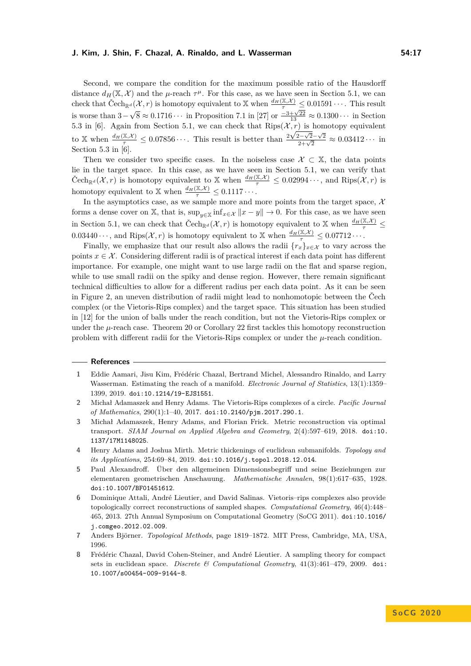Second, we compare the condition for the maximum possible ratio of the Hausdorff distance  $d_H(\mathbb{X}, \mathcal{X})$  and the *µ*-reach  $\tau^{\mu}$ . For this case, as we have seen in Section [5.1,](#page-12-1) we can check that  $\text{Čech}_{\mathbb{R}^d}(\mathcal{X}, r)$  is homotopy equivalent to X when  $\frac{d_H(\mathbb{X}, \mathcal{X})}{\tau} \leq 0.01591 \cdots$ . This result is worse than 3−  $\sqrt{8}$  ≈ 0.1716 · · · in Proposition 7.1 in [\[27\]](#page-17-6) or  $\frac{-3+\sqrt{22}}{13}$  ≈ 0.1300 · · · in Section 5.3 in [\[6\]](#page-16-2). Again from Section [5.1,](#page-12-1) we can check that  $\text{Rips}(\mathcal{X}, r)$  is homotopy equivalent to X when  $\frac{d_H(\mathbb{X}, \mathcal{X})}{\tau} \leq 0.07856 \cdots$ . This result is better than  $\frac{2\sqrt{2-\sqrt{2}}-\sqrt{2}}{2+\sqrt{2}} \approx 0.03412 \cdots$  in Section 5.3 in [\[6\]](#page-16-2).

Then we consider two specific cases. In the noiseless case  $\mathcal{X} \subset \mathbb{X}$ , the data points lie in the target space. In this case, as we have seen in Section [5.1,](#page-12-1) we can verify that  $\text{Čech}_{\mathbb{R}^d}(\mathcal{X}, r)$  is homotopy equivalent to X when  $\frac{d_H(\mathbb{X}, \mathcal{X})}{\tau} \leq 0.02994 \cdots$ , and Rips $(\mathcal{X}, r)$  is homotopy equivalent to X when  $\frac{d_H(\mathbb{X}, \mathcal{X})}{\tau} \leq 0.1117 \cdots$ .

In the asymptotics case, as we sample more and more points from the target space,  $\mathcal{X}$ forms a dense cover on X, that is,  $\sup_{y \in \mathbb{X}} \inf_{x \in \mathcal{X}} ||x - y|| \to 0$ . For this case, as we have seen in Section [5.1,](#page-12-1) we can check that  $\text{Čech}_{\mathbb{R}^d}(\mathcal{X}, r)$  is homotopy equivalent to X when  $\frac{d_H(\mathbb{X}, \mathcal{X})}{\tau} \leq$  $0.03440 \cdots$ , and Rips $(\mathcal{X}, r)$  is homotopy equivalent to X when  $\frac{d_H(\mathbb{X}, \mathcal{X})}{\tau} \leq 0.07712 \cdots$ .

Finally, we emphasize that our result also allows the radii  ${r_x}_{x \in \mathcal{X}}$  to vary across the points  $x \in \mathcal{X}$ . Considering different radii is of practical interest if each data point has different importance. For example, one might want to use large radii on the flat and sparse region, while to use small radii on the spiky and dense region. However, there remain significant technical difficulties to allow for a different radius per each data point. As it can be seen in Figure [2,](#page-5-2) an uneven distribution of radii might lead to nonhomotopic between the Čech complex (or the Vietoris-Rips complex) and the target space. This situation has been studied in [\[12\]](#page-17-5) for the union of balls under the reach condition, but not the Vietoris-Rips complex or under the *µ*-reach case. Theorem [20](#page-10-1) or Corollary [22](#page-11-0) first tackles this homotopy reconstruction problem with different radii for the Vietoris-Rips complex or under the *µ*-reach condition.

### **References**

- <span id="page-16-7"></span>**1** Eddie Aamari, Jisu Kim, Frédéric Chazal, Bertrand Michel, Alessandro Rinaldo, and Larry Wasserman. Estimating the reach of a manifold. *Electronic Journal of Statistics*, 13(1):1359– 1399, 2019. [doi:10.1214/19-EJS1551](https://doi.org/10.1214/19-EJS1551).
- <span id="page-16-6"></span>**2** Michał Adamaszek and Henry Adams. The Vietoris-Rips complexes of a circle. *Pacific Journal of Mathematics*, 290(1):1–40, 2017. [doi:10.2140/pjm.2017.290.1](https://doi.org/10.2140/pjm.2017.290.1).
- <span id="page-16-4"></span>**3** Michał Adamaszek, Henry Adams, and Florian Frick. Metric reconstruction via optimal transport. *SIAM Journal on Applied Algebra and Geometry*, 2(4):597–619, 2018. [doi:10.](https://doi.org/10.1137/17M1148025) [1137/17M1148025](https://doi.org/10.1137/17M1148025).
- <span id="page-16-5"></span>**4** Henry Adams and Joshua Mirth. Metric thickenings of euclidean submanifolds. *Topology and its Applications*, 254:69–84, 2019. [doi:10.1016/j.topol.2018.12.014](https://doi.org/10.1016/j.topol.2018.12.014).
- <span id="page-16-0"></span>**5** Paul Alexandroff. Über den allgemeinen Dimensionsbegriff und seine Beziehungen zur elementaren geometrischen Anschauung. *Mathematische Annalen*, 98(1):617–635, 1928. [doi:10.1007/BF01451612](https://doi.org/10.1007/BF01451612).
- <span id="page-16-2"></span>**6** Dominique Attali, André Lieutier, and David Salinas. Vietoris–rips complexes also provide topologically correct reconstructions of sampled shapes. *Computational Geometry*, 46(4):448– 465, 2013. 27th Annual Symposium on Computational Geometry (SoCG 2011). [doi:10.1016/](https://doi.org/10.1016/j.comgeo.2012.02.009) [j.comgeo.2012.02.009](https://doi.org/10.1016/j.comgeo.2012.02.009).
- <span id="page-16-1"></span>**7** Anders Björner. *Topological Methods*, page 1819–1872. MIT Press, Cambridge, MA, USA, 1996.
- <span id="page-16-3"></span>**8** Frédéric Chazal, David Cohen-Steiner, and André Lieutier. A sampling theory for compact sets in euclidean space. *Discrete & Computational Geometry*, 41(3):461–479, 2009. [doi:](https://doi.org/10.1007/s00454-009-9144-8) [10.1007/s00454-009-9144-8](https://doi.org/10.1007/s00454-009-9144-8).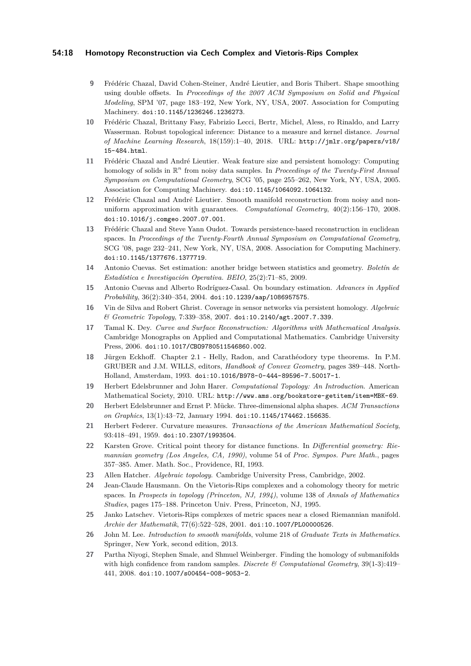### **54:18 Homotopy Reconstruction via Cech Complex and Vietoris-Rips Complex**

- <span id="page-17-13"></span>**9** Frédéric Chazal, David Cohen-Steiner, André Lieutier, and Boris Thibert. Shape smoothing using double offsets. In *Proceedings of the 2007 ACM Symposium on Solid and Physical Modeling*, SPM '07, page 183–192, New York, NY, USA, 2007. Association for Computing Machinery. [doi:10.1145/1236246.1236273](https://doi.org/10.1145/1236246.1236273).
- <span id="page-17-18"></span>**10** Frédéric Chazal, Brittany Fasy, Fabrizio Lecci, Bertr, Michel, Aless, ro Rinaldo, and Larry Wasserman. Robust topological inference: Distance to a measure and kernel distance. *Journal of Machine Learning Research*, 18(159):1–40, 2018. URL: [http://jmlr.org/papers/v18/](http://jmlr.org/papers/v18/15-484.html) [15-484.html](http://jmlr.org/papers/v18/15-484.html).
- <span id="page-17-15"></span>**11** Frédéric Chazal and André Lieutier. Weak feature size and persistent homology: Computing homology of solids in  $\mathbb{R}^n$  from noisy data samples. In *Proceedings of the Twenty-First Annual Symposium on Computational Geometry*, SCG '05, page 255–262, New York, NY, USA, 2005. Association for Computing Machinery. [doi:10.1145/1064092.1064132](https://doi.org/10.1145/1064092.1064132).
- <span id="page-17-5"></span>**12** Frédéric Chazal and André Lieutier. Smooth manifold reconstruction from noisy and nonuniform approximation with guarantees. *Computational Geometry*, 40(2):156–170, 2008. [doi:10.1016/j.comgeo.2007.07.001](https://doi.org/10.1016/j.comgeo.2007.07.001).
- <span id="page-17-9"></span>**13** Frédéric Chazal and Steve Yann Oudot. Towards persistence-based reconstruction in euclidean spaces. In *Proceedings of the Twenty-Fourth Annual Symposium on Computational Geometry*, SCG '08, page 232–241, New York, NY, USA, 2008. Association for Computing Machinery. [doi:10.1145/1377676.1377719](https://doi.org/10.1145/1377676.1377719).
- <span id="page-17-17"></span>**14** Antonio Cuevas. Set estimation: another bridge between statistics and geometry. *Boletín de Estadística e Investigación Operativa. BEIO*, 25(2):71–85, 2009.
- <span id="page-17-16"></span>**15** Antonio Cuevas and Alberto Rodríguez-Casal. On boundary estimation. *Advances in Applied Probability*, 36(2):340–354, 2004. [doi:10.1239/aap/1086957575](https://doi.org/10.1239/aap/1086957575).
- <span id="page-17-12"></span>**16** Vin de Silva and Robert Ghrist. Coverage in sensor networks via persistent homology. *Algebraic & Geometric Topology*, 7:339–358, 2007. [doi:10.2140/agt.2007.7.339](https://doi.org/10.2140/agt.2007.7.339).
- <span id="page-17-0"></span>**17** Tamal K. Dey. *Curve and Surface Reconstruction: Algorithms with Mathematical Analysis*. Cambridge Monographs on Applied and Computational Mathematics. Cambridge University Press, 2006. [doi:10.1017/CBO9780511546860.002](https://doi.org/10.1017/CBO9780511546860.002).
- <span id="page-17-11"></span>**18** Jürgen Eckhoff. Chapter 2.1 - Helly, Radon, and Carathéodory type theorems. In P.M. GRUBER and J.M. WILLS, editors, *Handbook of Convex Geometry*, pages 389–448. North-Holland, Amsterdam, 1993. [doi:10.1016/B978-0-444-89596-7.50017-1](https://doi.org/10.1016/B978-0-444-89596-7.50017-1).
- <span id="page-17-7"></span>**19** Herbert Edelsbrunner and John Harer. *Computational Topology: An Introduction*. American Mathematical Society, 2010. URL: <http://www.ams.org/bookstore-getitem/item=MBK-69>.
- <span id="page-17-2"></span>**20** Herbert Edelsbrunner and Ernst P. Mücke. Three-dimensional alpha shapes. *ACM Transactions on Graphics*, 13(1):43–72, January 1994. [doi:10.1145/174462.156635](https://doi.org/10.1145/174462.156635).
- <span id="page-17-8"></span>**21** Herbert Federer. Curvature measures. *Transactions of the American Mathematical Society*, 93:418–491, 1959. [doi:10.2307/1993504](https://doi.org/10.2307/1993504).
- <span id="page-17-14"></span>**22** Karsten Grove. Critical point theory for distance functions. In *Differential geometry: Riemannian geometry (Los Angeles, CA, 1990)*, volume 54 of *Proc. Sympos. Pure Math.*, pages 357–385. Amer. Math. Soc., Providence, RI, 1993.
- <span id="page-17-1"></span>**23** Allen Hatcher. *Algebraic topology*. Cambridge University Press, Cambridge, 2002.
- <span id="page-17-3"></span>**24** Jean-Claude Hausmann. On the Vietoris-Rips complexes and a cohomology theory for metric spaces. In *Prospects in topology (Princeton, NJ, 1994)*, volume 138 of *Annals of Mathematics Studies*, pages 175–188. Princeton Univ. Press, Princeton, NJ, 1995.
- <span id="page-17-4"></span>**25** Janko Latschev. Vietoris-Rips complexes of metric spaces near a closed Riemannian manifold. *Archiv der Mathematik*, 77(6):522–528, 2001. [doi:10.1007/PL00000526](https://doi.org/10.1007/PL00000526).
- <span id="page-17-10"></span>**26** John M. Lee. *Introduction to smooth manifolds*, volume 218 of *Graduate Texts in Mathematics*. Springer, New York, second edition, 2013.
- <span id="page-17-6"></span>**27** Partha Niyogi, Stephen Smale, and Shmuel Weinberger. Finding the homology of submanifolds with high confidence from random samples. *Discrete & Computational Geometry*, 39(1-3):419– 441, 2008. [doi:10.1007/s00454-008-9053-2](https://doi.org/10.1007/s00454-008-9053-2).